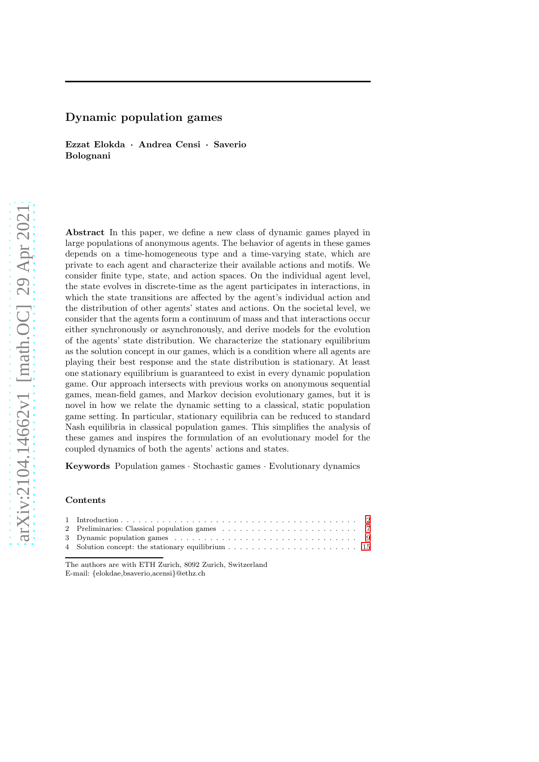# Dynamic population games

Ezzat Elokda · Andrea Censi · Saverio Bolognani

Abstract In this paper, we define a new class of dynamic games played in large populations of anonymous agents. The behavior of agents in these games depends on a time-homogeneous type and a time-varying state, which are private to each agent and characterize their available actions and motifs. We consider finite type, state, and action spaces. On the individual agent level, the state evolves in discrete-time as the agent participates in interactions, in which the state transitions are affected by the agent's individual action and the distribution of other agents' states and actions. On the societal level, we consider that the agents form a continuum of mass and that interactions occur either synchronously or asynchronously, and derive models for the evolution of the agents' state distribution. We characterize the stationary equilibrium as the solution concept in our games, which is a condition where all agents are playing their best response and the state distribution is stationary. At least one stationary equilibrium is guaranteed to exist in every dynamic population game. Our approach intersects with previous works on anonymous sequential games, mean-field games, and Markov decision evolutionary games, but it is novel in how we relate the dynamic setting to a classical, static population game setting. In particular, stationary equilibria can be reduced to standard Nash equilibria in classical population games. This simplifies the analysis of these games and inspires the formulation of an evolutionary model for the coupled dynamics of both the agents' actions and states.

Keywords Population games · Stochastic games · Evolutionary dynamics

## Contents

The authors are with ETH Zurich, 8092 Zurich, Switzerland E-mail: {elokdae,bsaverio,acensi}@ethz.ch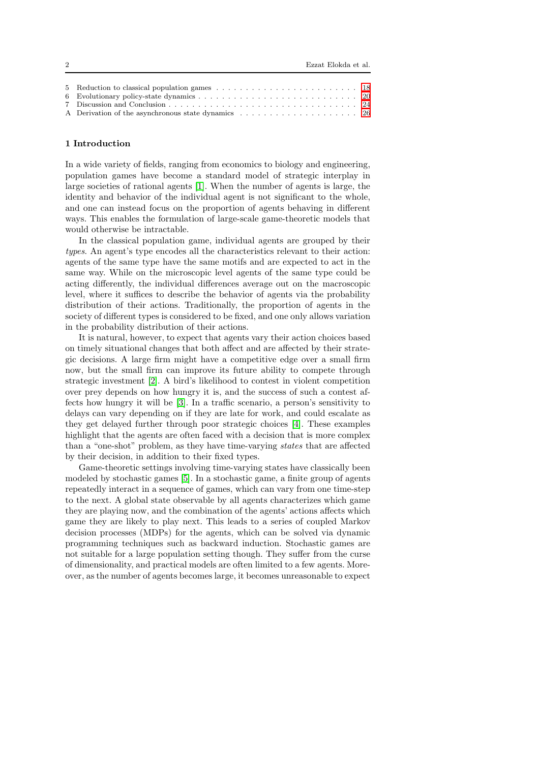## <span id="page-1-0"></span>1 Introduction

In a wide variety of fields, ranging from economics to biology and engineering, population games have become a standard model of strategic interplay in large societies of rational agents [\[1\]](#page-26-0). When the number of agents is large, the identity and behavior of the individual agent is not significant to the whole, and one can instead focus on the proportion of agents behaving in different ways. This enables the formulation of large-scale game-theoretic models that would otherwise be intractable.

In the classical population game, individual agents are grouped by their types. An agent's type encodes all the characteristics relevant to their action: agents of the same type have the same motifs and are expected to act in the same way. While on the microscopic level agents of the same type could be acting differently, the individual differences average out on the macroscopic level, where it suffices to describe the behavior of agents via the probability distribution of their actions. Traditionally, the proportion of agents in the society of different types is considered to be fixed, and one only allows variation in the probability distribution of their actions.

It is natural, however, to expect that agents vary their action choices based on timely situational changes that both affect and are affected by their strategic decisions. A large firm might have a competitive edge over a small firm now, but the small firm can improve its future ability to compete through strategic investment [\[2\]](#page-26-1). A bird's likelihood to contest in violent competition over prey depends on how hungry it is, and the success of such a contest affects how hungry it will be [\[3\]](#page-26-2). In a traffic scenario, a person's sensitivity to delays can vary depending on if they are late for work, and could escalate as they get delayed further through poor strategic choices [\[4\]](#page-26-3). These examples highlight that the agents are often faced with a decision that is more complex than a "one-shot" problem, as they have time-varying states that are affected by their decision, in addition to their fixed types.

Game-theoretic settings involving time-varying states have classically been modeled by stochastic games [\[5\]](#page-26-4). In a stochastic game, a finite group of agents repeatedly interact in a sequence of games, which can vary from one time-step to the next. A global state observable by all agents characterizes which game they are playing now, and the combination of the agents' actions affects which game they are likely to play next. This leads to a series of coupled Markov decision processes (MDPs) for the agents, which can be solved via dynamic programming techniques such as backward induction. Stochastic games are not suitable for a large population setting though. They suffer from the curse of dimensionality, and practical models are often limited to a few agents. Moreover, as the number of agents becomes large, it becomes unreasonable to expect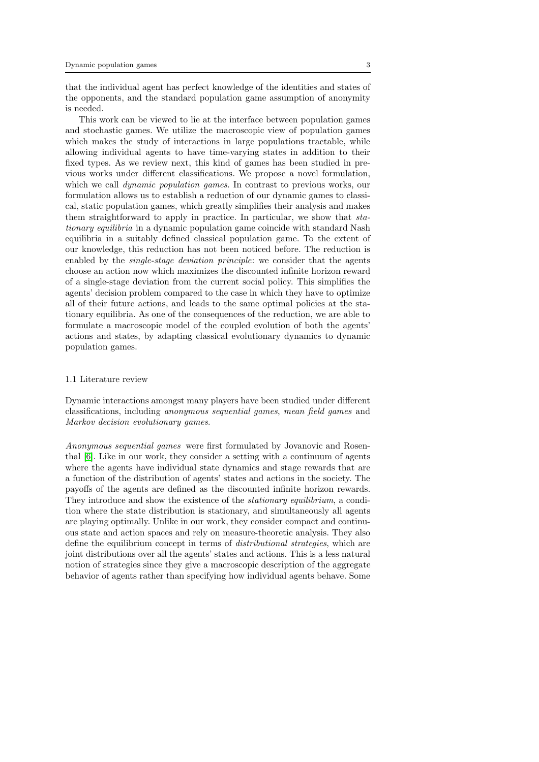that the individual agent has perfect knowledge of the identities and states of the opponents, and the standard population game assumption of anonymity is needed.

This work can be viewed to lie at the interface between population games and stochastic games. We utilize the macroscopic view of population games which makes the study of interactions in large populations tractable, while allowing individual agents to have time-varying states in addition to their fixed types. As we review next, this kind of games has been studied in previous works under different classifications. We propose a novel formulation, which we call *dynamic population games*. In contrast to previous works, our formulation allows us to establish a reduction of our dynamic games to classical, static population games, which greatly simplifies their analysis and makes them straightforward to apply in practice. In particular, we show that stationary equilibria in a dynamic population game coincide with standard Nash equilibria in a suitably defined classical population game. To the extent of our knowledge, this reduction has not been noticed before. The reduction is enabled by the *single-stage deviation principle*: we consider that the agents choose an action now which maximizes the discounted infinite horizon reward of a single-stage deviation from the current social policy. This simplifies the agents' decision problem compared to the case in which they have to optimize all of their future actions, and leads to the same optimal policies at the stationary equilibria. As one of the consequences of the reduction, we are able to formulate a macroscopic model of the coupled evolution of both the agents' actions and states, by adapting classical evolutionary dynamics to dynamic population games.

#### 1.1 Literature review

Dynamic interactions amongst many players have been studied under different classifications, including anonymous sequential games, mean field games and Markov decision evolutionary games.

Anonymous sequential games were first formulated by Jovanovic and Rosenthal [\[6\]](#page-26-5). Like in our work, they consider a setting with a continuum of agents where the agents have individual state dynamics and stage rewards that are a function of the distribution of agents' states and actions in the society. The payoffs of the agents are defined as the discounted infinite horizon rewards. They introduce and show the existence of the *stationary equilibrium*, a condition where the state distribution is stationary, and simultaneously all agents are playing optimally. Unlike in our work, they consider compact and continuous state and action spaces and rely on measure-theoretic analysis. They also define the equilibrium concept in terms of distributional strategies, which are joint distributions over all the agents' states and actions. This is a less natural notion of strategies since they give a macroscopic description of the aggregate behavior of agents rather than specifying how individual agents behave. Some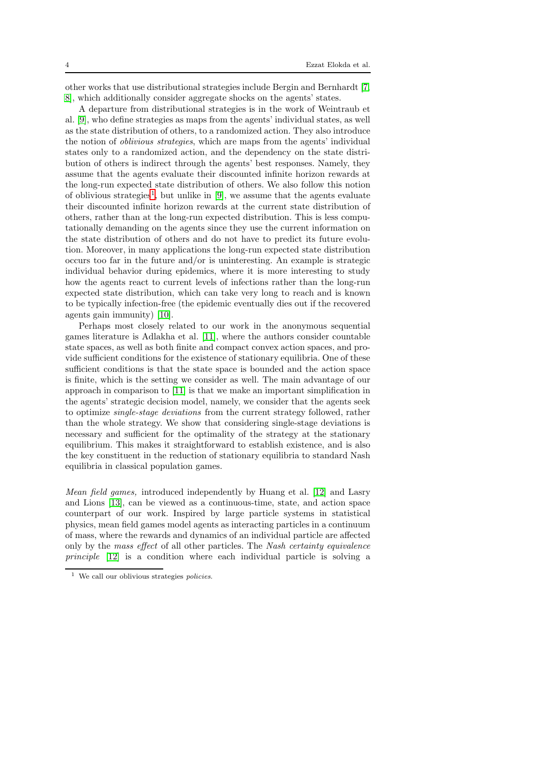other works that use distributional strategies include Bergin and Bernhardt [\[7,](#page-26-6) [8\]](#page-26-7), which additionally consider aggregate shocks on the agents' states.

A departure from distributional strategies is in the work of Weintraub et al. [\[9\]](#page-26-8), who define strategies as maps from the agents' individual states, as well as the state distribution of others, to a randomized action. They also introduce the notion of oblivious strategies, which are maps from the agents' individual states only to a randomized action, and the dependency on the state distribution of others is indirect through the agents' best responses. Namely, they assume that the agents evaluate their discounted infinite horizon rewards at the long-run expected state distribution of others. We also follow this notion of oblivious strategies<sup>[1](#page-3-0)</sup>, but unlike in  $[9]$ , we assume that the agents evaluate their discounted infinite horizon rewards at the current state distribution of others, rather than at the long-run expected distribution. This is less computationally demanding on the agents since they use the current information on the state distribution of others and do not have to predict its future evolution. Moreover, in many applications the long-run expected state distribution occurs too far in the future and/or is uninteresting. An example is strategic individual behavior during epidemics, where it is more interesting to study how the agents react to current levels of infections rather than the long-run expected state distribution, which can take very long to reach and is known to be typically infection-free (the epidemic eventually dies out if the recovered agents gain immunity) [\[10\]](#page-26-9).

Perhaps most closely related to our work in the anonymous sequential games literature is Adlakha et al. [\[11\]](#page-26-10), where the authors consider countable state spaces, as well as both finite and compact convex action spaces, and provide sufficient conditions for the existence of stationary equilibria. One of these sufficient conditions is that the state space is bounded and the action space is finite, which is the setting we consider as well. The main advantage of our approach in comparison to [\[11\]](#page-26-10) is that we make an important simplification in the agents' strategic decision model, namely, we consider that the agents seek to optimize single-stage deviations from the current strategy followed, rather than the whole strategy. We show that considering single-stage deviations is necessary and sufficient for the optimality of the strategy at the stationary equilibrium. This makes it straightforward to establish existence, and is also the key constituent in the reduction of stationary equilibria to standard Nash equilibria in classical population games.

Mean field games, introduced independently by Huang et al. [\[12\]](#page-26-11) and Lasry and Lions [\[13\]](#page-26-12), can be viewed as a continuous-time, state, and action space counterpart of our work. Inspired by large particle systems in statistical physics, mean field games model agents as interacting particles in a continuum of mass, where the rewards and dynamics of an individual particle are affected only by the mass effect of all other particles. The Nash certainty equivalence principle [\[12\]](#page-26-11) is a condition where each individual particle is solving a

<span id="page-3-0"></span><sup>1</sup> We call our oblivious strategies *policies*.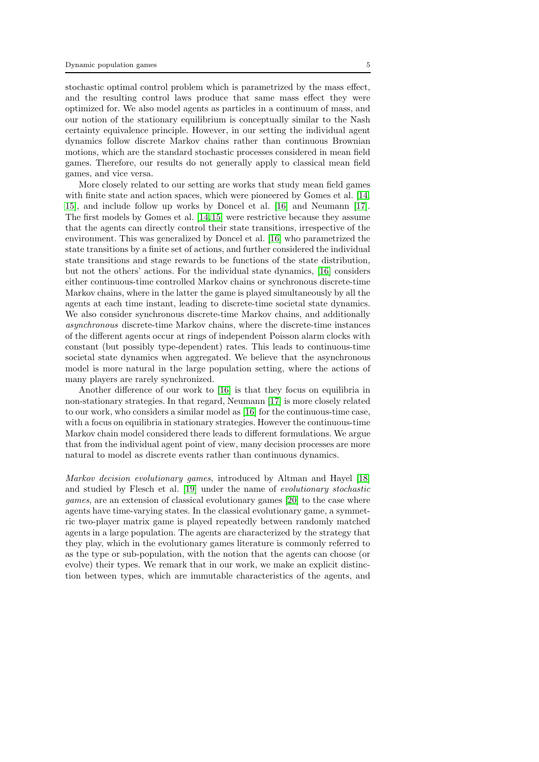stochastic optimal control problem which is parametrized by the mass effect, and the resulting control laws produce that same mass effect they were optimized for. We also model agents as particles in a continuum of mass, and our notion of the stationary equilibrium is conceptually similar to the Nash certainty equivalence principle. However, in our setting the individual agent dynamics follow discrete Markov chains rather than continuous Brownian motions, which are the standard stochastic processes considered in mean field games. Therefore, our results do not generally apply to classical mean field games, and vice versa.

More closely related to our setting are works that study mean field games with finite state and action spaces, which were pioneered by Gomes et al. [\[14,](#page-26-13) [15\]](#page-26-14), and include follow up works by Doncel et al. [\[16\]](#page-26-15) and Neumann [\[17\]](#page-26-16). The first models by Gomes et al. [\[14,](#page-26-13)[15\]](#page-26-14) were restrictive because they assume that the agents can directly control their state transitions, irrespective of the environment. This was generalized by Doncel et al. [\[16\]](#page-26-15) who parametrized the state transitions by a finite set of actions, and further considered the individual state transitions and stage rewards to be functions of the state distribution, but not the others' actions. For the individual state dynamics, [\[16\]](#page-26-15) considers either continuous-time controlled Markov chains or synchronous discrete-time Markov chains, where in the latter the game is played simultaneously by all the agents at each time instant, leading to discrete-time societal state dynamics. We also consider synchronous discrete-time Markov chains, and additionally asynchronous discrete-time Markov chains, where the discrete-time instances of the different agents occur at rings of independent Poisson alarm clocks with constant (but possibly type-dependent) rates. This leads to continuous-time societal state dynamics when aggregated. We believe that the asynchronous model is more natural in the large population setting, where the actions of many players are rarely synchronized.

Another difference of our work to [\[16\]](#page-26-15) is that they focus on equilibria in non-stationary strategies. In that regard, Neumann [\[17\]](#page-26-16) is more closely related to our work, who considers a similar model as [\[16\]](#page-26-15) for the continuous-time case, with a focus on equilibria in stationary strategies. However the continuous-time Markov chain model considered there leads to different formulations. We argue that from the individual agent point of view, many decision processes are more natural to model as discrete events rather than continuous dynamics.

Markov decision evolutionary games, introduced by Altman and Hayel [\[18\]](#page-26-17) and studied by Flesch et al. [\[19\]](#page-26-18) under the name of evolutionary stochastic games, are an extension of classical evolutionary games [\[20\]](#page-26-19) to the case where agents have time-varying states. In the classical evolutionary game, a symmetric two-player matrix game is played repeatedly between randomly matched agents in a large population. The agents are characterized by the strategy that they play, which in the evolutionary games literature is commonly referred to as the type or sub-population, with the notion that the agents can choose (or evolve) their types. We remark that in our work, we make an explicit distinction between types, which are immutable characteristics of the agents, and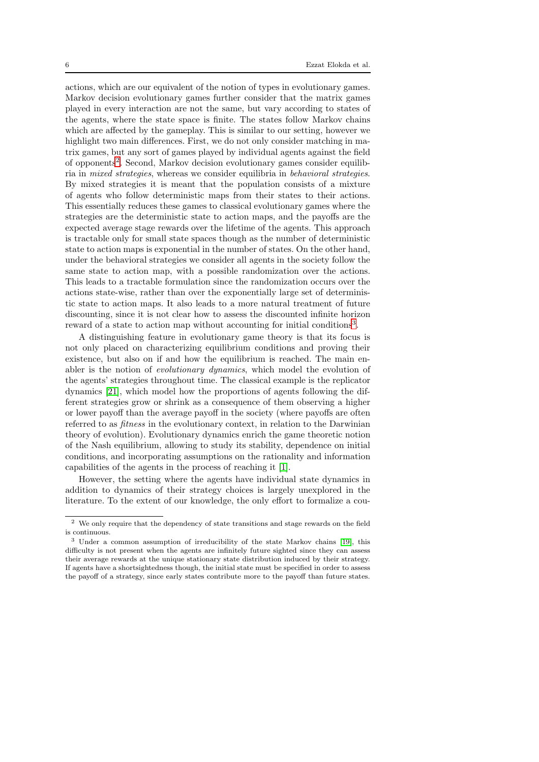actions, which are our equivalent of the notion of types in evolutionary games. Markov decision evolutionary games further consider that the matrix games played in every interaction are not the same, but vary according to states of the agents, where the state space is finite. The states follow Markov chains which are affected by the gameplay. This is similar to our setting, however we highlight two main differences. First, we do not only consider matching in matrix games, but any sort of games played by individual agents against the field of opponents<sup>[2](#page-5-0)</sup>. Second, Markov decision evolutionary games consider equilibria in mixed strategies, whereas we consider equilibria in behavioral strategies. By mixed strategies it is meant that the population consists of a mixture of agents who follow deterministic maps from their states to their actions. This essentially reduces these games to classical evolutionary games where the strategies are the deterministic state to action maps, and the payoffs are the expected average stage rewards over the lifetime of the agents. This approach is tractable only for small state spaces though as the number of deterministic state to action maps is exponential in the number of states. On the other hand, under the behavioral strategies we consider all agents in the society follow the same state to action map, with a possible randomization over the actions. This leads to a tractable formulation since the randomization occurs over the actions state-wise, rather than over the exponentially large set of deterministic state to action maps. It also leads to a more natural treatment of future discounting, since it is not clear how to assess the discounted infinite horizon reward of a state to action map without accounting for initial conditions<sup>[3](#page-5-1)</sup>.

A distinguishing feature in evolutionary game theory is that its focus is not only placed on characterizing equilibrium conditions and proving their existence, but also on if and how the equilibrium is reached. The main enabler is the notion of evolutionary dynamics, which model the evolution of the agents' strategies throughout time. The classical example is the replicator dynamics [\[21\]](#page-26-20), which model how the proportions of agents following the different strategies grow or shrink as a consequence of them observing a higher or lower payoff than the average payoff in the society (where payoffs are often referred to as fitness in the evolutionary context, in relation to the Darwinian theory of evolution). Evolutionary dynamics enrich the game theoretic notion of the Nash equilibrium, allowing to study its stability, dependence on initial conditions, and incorporating assumptions on the rationality and information capabilities of the agents in the process of reaching it [\[1\]](#page-26-0).

However, the setting where the agents have individual state dynamics in addition to dynamics of their strategy choices is largely unexplored in the literature. To the extent of our knowledge, the only effort to formalize a cou-

<span id="page-5-0"></span><sup>2</sup> We only require that the dependency of state transitions and stage rewards on the field is continuous.

<span id="page-5-1"></span><sup>3</sup> Under a common assumption of irreducibility of the state Markov chains [\[19\]](#page-26-18), this difficulty is not present when the agents are infinitely future sighted since they can assess their average rewards at the unique stationary state distribution induced by their strategy. If agents have a shortsightedness though, the initial state must be specified in order to assess the payoff of a strategy, since early states contribute more to the payoff than future states.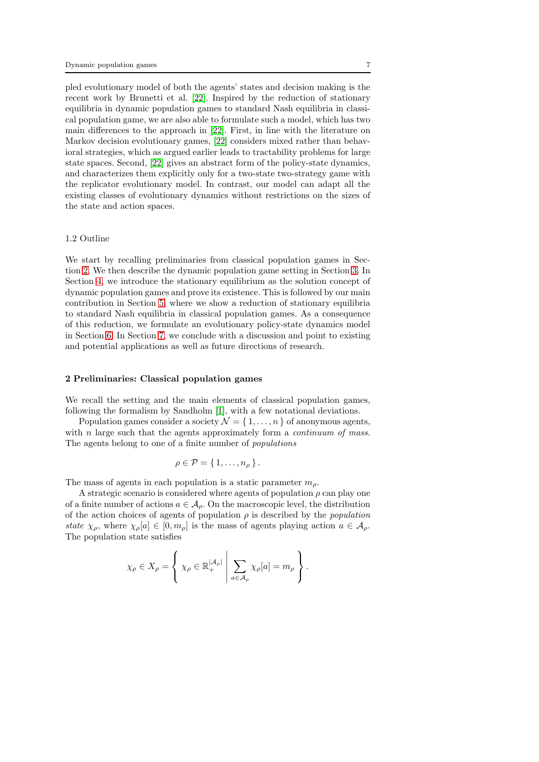pled evolutionary model of both the agents' states and decision making is the recent work by Brunetti et al. [\[22\]](#page-26-21). Inspired by the reduction of stationary equilibria in dynamic population games to standard Nash equilibria in classical population game, we are also able to formulate such a model, which has two main differences to the approach in [\[22\]](#page-26-21). First, in line with the literature on Markov decision evolutionary games, [\[22\]](#page-26-21) considers mixed rather than behavioral strategies, which as argued earlier leads to tractability problems for large state spaces. Second, [\[22\]](#page-26-21) gives an abstract form of the policy-state dynamics, and characterizes them explicitly only for a two-state two-strategy game with the replicator evolutionary model. In contrast, our model can adapt all the existing classes of evolutionary dynamics without restrictions on the sizes of the state and action spaces.

### 1.2 Outline

We start by recalling preliminaries from classical population games in Section [2.](#page-6-0) We then describe the dynamic population game setting in Section [3.](#page-8-0) In Section [4,](#page-14-0) we introduce the stationary equilibrium as the solution concept of dynamic population games and prove its existence. This is followed by our main contribution in Section [5,](#page-17-0) where we show a reduction of stationary equilibria to standard Nash equilibria in classical population games. As a consequence of this reduction, we formulate an evolutionary policy-state dynamics model in Section [6.](#page-19-0) In Section [7,](#page-23-0) we conclude with a discussion and point to existing and potential applications as well as future directions of research.

#### <span id="page-6-0"></span>2 Preliminaries: Classical population games

We recall the setting and the main elements of classical population games, following the formalism by Sandholm [\[1\]](#page-26-0), with a few notational deviations.

Population games consider a society  $\mathcal{N} = \{1, \ldots, n\}$  of anonymous agents, with  $n$  large such that the agents approximately form a *continuum of mass*. The agents belong to one of a finite number of populations

$$
\rho \in \mathcal{P} = \{1, \ldots, n_{\rho}\}.
$$

The mass of agents in each population is a static parameter  $m<sub>o</sub>$ .

A strategic scenario is considered where agents of population  $\rho$  can play one of a finite number of actions  $a \in A_{\rho}$ . On the macroscopic level, the distribution of the action choices of agents of population  $\rho$  is described by the *population* state  $\chi_{\rho}$ , where  $\chi_{\rho}[a] \in [0, m_{\rho}]$  is the mass of agents playing action  $a \in A_{\rho}$ . The population state satisfies

$$
\chi_{\rho} \in X_{\rho} = \left\{ \chi_{\rho} \in \mathbb{R}_{+}^{|\mathcal{A}_{\rho}|} \middle| \sum_{a \in \mathcal{A}_{\rho}} \chi_{\rho}[a] = m_{\rho} \right\}.
$$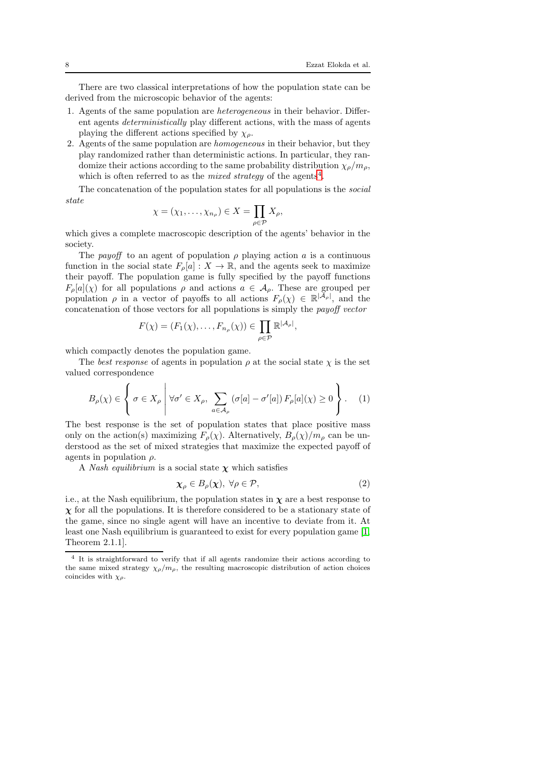There are two classical interpretations of how the population state can be derived from the microscopic behavior of the agents:

- <span id="page-7-2"></span>1. Agents of the same population are heterogeneous in their behavior. Different agents deterministically play different actions, with the mass of agents playing the different actions specified by  $\chi_{\rho}$ .
- <span id="page-7-1"></span>2. Agents of the same population are homogeneous in their behavior, but they play randomized rather than deterministic actions. In particular, they randomize their actions according to the same probability distribution  $\chi_o/m_o$ , which is often referred to as the *mixed strategy* of the agents<sup>[4](#page-7-0)</sup>.

The concatenation of the population states for all populations is the social state

$$
\chi = (\chi_1, \ldots, \chi_{n_\rho}) \in X = \prod_{\rho \in \mathcal{P}} X_\rho,
$$

which gives a complete macroscopic description of the agents' behavior in the society.

The payoff to an agent of population  $\rho$  playing action a is a continuous function in the social state  $F_{\rho}[a] : X \to \mathbb{R}$ , and the agents seek to maximize their payoff. The population game is fully specified by the payoff functions  $F_{\rho}[a](\chi)$  for all populations  $\rho$  and actions  $a \in A_{\rho}$ . These are grouped per population  $\rho$  in a vector of payoffs to all actions  $F_{\rho}(\chi) \in \mathbb{R}^{|\tilde{A}_{\rho}|}$ , and the concatenation of those vectors for all populations is simply the payoff vector

$$
F(\chi) = (F_1(\chi), \dots, F_{n_\rho}(\chi)) \in \prod_{\rho \in \mathcal{P}} \mathbb{R}^{|\mathcal{A}_\rho|}
$$

which compactly denotes the population game.

The best response of agents in population  $\rho$  at the social state  $\chi$  is the set valued correspondence

$$
B_{\rho}(\chi) \in \left\{ \sigma \in X_{\rho} \; \middle| \; \forall \sigma' \in X_{\rho}, \; \sum_{a \in \mathcal{A}_{\rho}} \left( \sigma[a] - \sigma'[a] \right) F_{\rho}[a](\chi) \ge 0 \right\}.
$$
 (1)

The best response is the set of population states that place positive mass only on the action(s) maximizing  $F_{\rho}(\chi)$ . Alternatively,  $B_{\rho}(\chi)/m_{\rho}$  can be understood as the set of mixed strategies that maximize the expected payoff of agents in population  $\rho$ .

A Nash equilibrium is a social state  $\chi$  which satisfies

$$
\chi_{\rho} \in B_{\rho}(\chi), \ \forall \rho \in \mathcal{P}, \tag{2}
$$

<span id="page-7-3"></span>,

i.e., at the Nash equilibrium, the population states in  $\chi$  are a best response to  $\chi$  for all the populations. It is therefore considered to be a stationary state of the game, since no single agent will have an incentive to deviate from it. At least one Nash equilibrium is guaranteed to exist for every population game [\[1,](#page-26-0) Theorem 2.1.1].

<span id="page-7-0"></span><sup>&</sup>lt;sup>4</sup> It is straightforward to verify that if all agents randomize their actions according to the same mixed strategy  $\chi_{\rho}/m_{\rho}$ , the resulting macroscopic distribution of action choices coincides with  $\chi_{\rho}$ .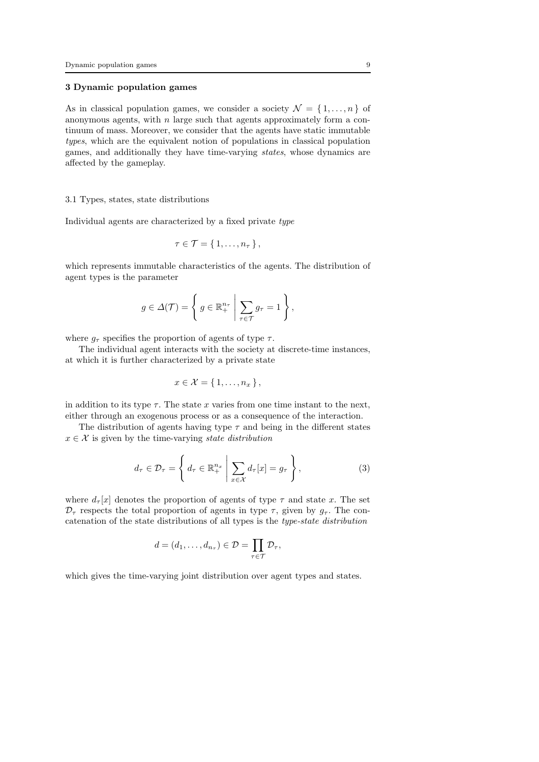## <span id="page-8-0"></span>3 Dynamic population games

As in classical population games, we consider a society  $\mathcal{N} = \{1, \ldots, n\}$  of anonymous agents, with  $n$  large such that agents approximately form a continuum of mass. Moreover, we consider that the agents have static immutable types, which are the equivalent notion of populations in classical population games, and additionally they have time-varying states, whose dynamics are affected by the gameplay.

#### 3.1 Types, states, state distributions

Individual agents are characterized by a fixed private type

$$
\tau\in\mathcal{T}=\{1,\ldots,n_{\tau}\},\,
$$

which represents immutable characteristics of the agents. The distribution of agent types is the parameter

$$
g \in \Delta(\mathcal{T}) = \left\{ g \in \mathbb{R}^{n_{\tau}}_{+} \mid \sum_{\tau \in \mathcal{T}} g_{\tau} = 1 \right\},\
$$

where  $q_{\tau}$  specifies the proportion of agents of type  $\tau$ .

The individual agent interacts with the society at discrete-time instances, at which it is further characterized by a private state

<span id="page-8-1"></span>
$$
x \in \mathcal{X} = \{1, \ldots, n_x\},\
$$

in addition to its type  $\tau$ . The state x varies from one time instant to the next, either through an exogenous process or as a consequence of the interaction.

The distribution of agents having type  $\tau$  and being in the different states  $x \in \mathcal{X}$  is given by the time-varying state distribution

$$
d_{\tau} \in \mathcal{D}_{\tau} = \left\{ d_{\tau} \in \mathbb{R}^{n_x}_+ \; \middle| \; \sum_{x \in \mathcal{X}} d_{\tau}[x] = g_{\tau} \right\},\tag{3}
$$

where  $d_{\tau}[x]$  denotes the proportion of agents of type  $\tau$  and state x. The set  $\mathcal{D}_{\tau}$  respects the total proportion of agents in type  $\tau$ , given by  $q_{\tau}$ . The concatenation of the state distributions of all types is the *type-state distribution* 

$$
d=(d_1,\ldots,d_{n_{\tau}})\in\mathcal{D}=\prod_{\tau\in\mathcal{T}}\mathcal{D}_{\tau},
$$

which gives the time-varying joint distribution over agent types and states.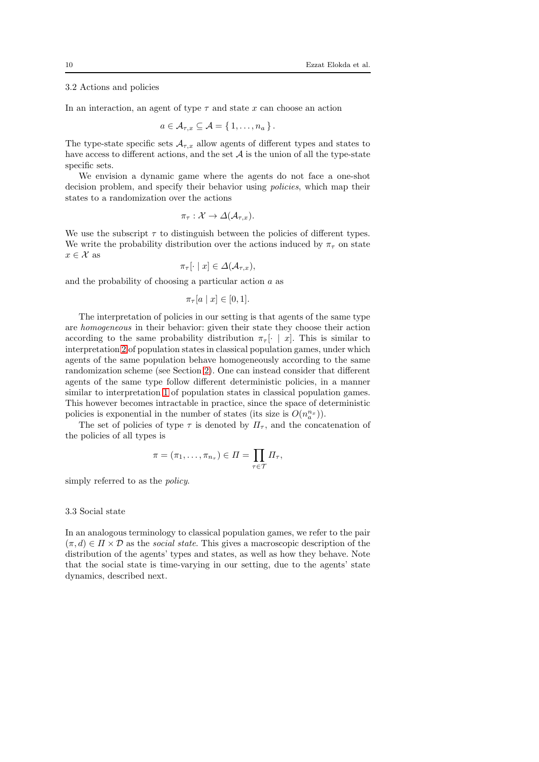#### 3.2 Actions and policies

In an interaction, an agent of type  $\tau$  and state x can choose an action

$$
a\in \mathcal{A}_{\tau,x}\subseteq \mathcal{A}=\{1,\ldots,n_a\}.
$$

The type-state specific sets  $A_{\tau,x}$  allow agents of different types and states to have access to different actions, and the set  $A$  is the union of all the type-state specific sets.

We envision a dynamic game where the agents do not face a one-shot decision problem, and specify their behavior using policies, which map their states to a randomization over the actions

$$
\pi_{\tau}: \mathcal{X} \to \Delta(\mathcal{A}_{\tau,x}).
$$

We use the subscript  $\tau$  to distinguish between the policies of different types. We write the probability distribution over the actions induced by  $\pi_{\tau}$  on state  $x \in \mathcal{X}$  as

$$
\pi_{\tau}[\cdot \mid x] \in \Delta(\mathcal{A}_{\tau,x}),
$$

and the probability of choosing a particular action  $a$  as

$$
\pi_{\tau}[a \mid x] \in [0,1].
$$

The interpretation of policies in our setting is that agents of the same type are homogeneous in their behavior: given their state they choose their action according to the same probability distribution  $\pi_{\tau}[\cdot \mid x]$ . This is similar to interpretation [2](#page-7-1) of population states in classical population games, under which agents of the same population behave homogeneously according to the same randomization scheme (see Section [2\)](#page-6-0). One can instead consider that different agents of the same type follow different deterministic policies, in a manner similar to interpretation [1](#page-7-2) of population states in classical population games. This however becomes intractable in practice, since the space of deterministic policies is exponential in the number of states (its size is  $O(n_a^{n_x})$ ).

The set of policies of type  $\tau$  is denoted by  $\Pi_{\tau}$ , and the concatenation of the policies of all types is

$$
\pi = (\pi_1, \ldots, \pi_{n_\tau}) \in \Pi = \prod_{\tau \in \mathcal{T}} \Pi_\tau,
$$

simply referred to as the *policy*.

## 3.3 Social state

In an analogous terminology to classical population games, we refer to the pair  $(\pi, d) \in \Pi \times \mathcal{D}$  as the *social state*. This gives a macroscopic description of the distribution of the agents' types and states, as well as how they behave. Note that the social state is time-varying in our setting, due to the agents' state dynamics, described next.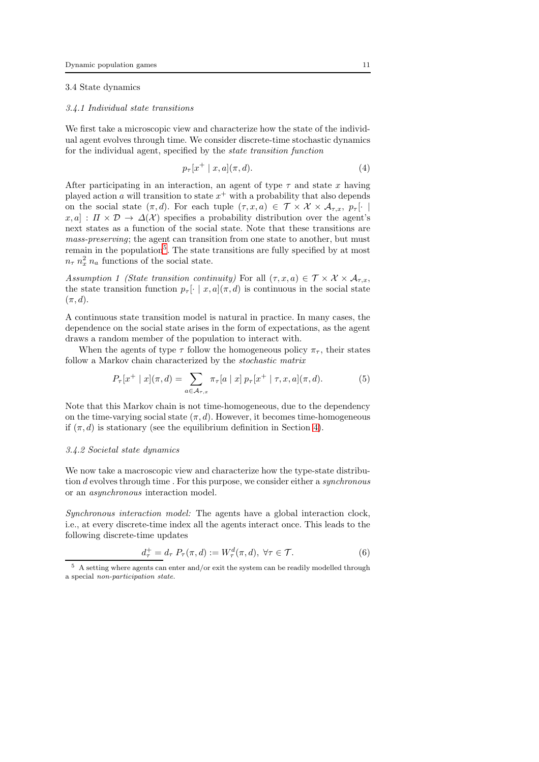## 3.4 State dynamics

#### 3.4.1 Individual state transitions

We first take a microscopic view and characterize how the state of the individual agent evolves through time. We consider discrete-time stochastic dynamics for the individual agent, specified by the state transition function

<span id="page-10-3"></span>
$$
p_{\tau}[x^{+} \mid x, a](\pi, d). \tag{4}
$$

After participating in an interaction, an agent of type  $\tau$  and state x having played action a will transition to state  $x^{+}$  with a probability that also depends on the social state  $(\pi, d)$ . For each tuple  $(\tau, x, a) \in \mathcal{T} \times \mathcal{X} \times \mathcal{A}_{\tau, x}, p_{\tau}[\cdot]$  $x, a] : \Pi \times \mathcal{D} \to \Delta(\mathcal{X})$  specifies a probability distribution over the agent's next states as a function of the social state. Note that these transitions are mass-preserving; the agent can transition from one state to another, but must remain in the population<sup>[5](#page-10-0)</sup>. The state transitions are fully specified by at most  $n_{\tau}$   $n_{x}$ <sup>2</sup>  $n_{a}$  functions of the social state.

<span id="page-10-2"></span>Assumption 1 (State transition continuity) For all  $(\tau, x, a) \in \mathcal{T} \times \mathcal{X} \times \mathcal{A}_{\tau,x}$ , the state transition function  $p_{\tau}[\cdot \mid x, a](\pi, d)$  is continuous in the social state  $(\pi, d).$ 

A continuous state transition model is natural in practice. In many cases, the dependence on the social state arises in the form of expectations, as the agent draws a random member of the population to interact with.

When the agents of type  $\tau$  follow the homogeneous policy  $\pi_{\tau}$ , their states follow a Markov chain characterized by the stochastic matrix

<span id="page-10-4"></span>
$$
P_{\tau}[x^{+} | x](\pi, d) = \sum_{a \in \mathcal{A}_{\tau, x}} \pi_{\tau}[a | x] p_{\tau}[x^{+} | \tau, x, a](\pi, d). \tag{5}
$$

Note that this Markov chain is not time-homogeneous, due to the dependency on the time-varying social state  $(\pi, d)$ . However, it becomes time-homogeneous if  $(\pi, d)$  is stationary (see the equilibrium definition in Section [4\)](#page-14-0).

## <span id="page-10-5"></span>3.4.2 Societal state dynamics

We now take a macroscopic view and characterize how the type-state distribution d evolves through time. For this purpose, we consider either a *synchronous* or an asynchronous interaction model.

Synchronous interaction model: The agents have a global interaction clock, i.e., at every discrete-time index all the agents interact once. This leads to the following discrete-time updates

<span id="page-10-1"></span>
$$
d_{\tau}^+ = d_{\tau} P_{\tau}(\pi, d) := W_{\tau}^d(\pi, d), \ \forall \tau \in \mathcal{T}.
$$
 (6)

<span id="page-10-0"></span> $^{\rm 5}$  A setting where agents can enter and/or exit the system can be readily modelled through a special *non-participation state*.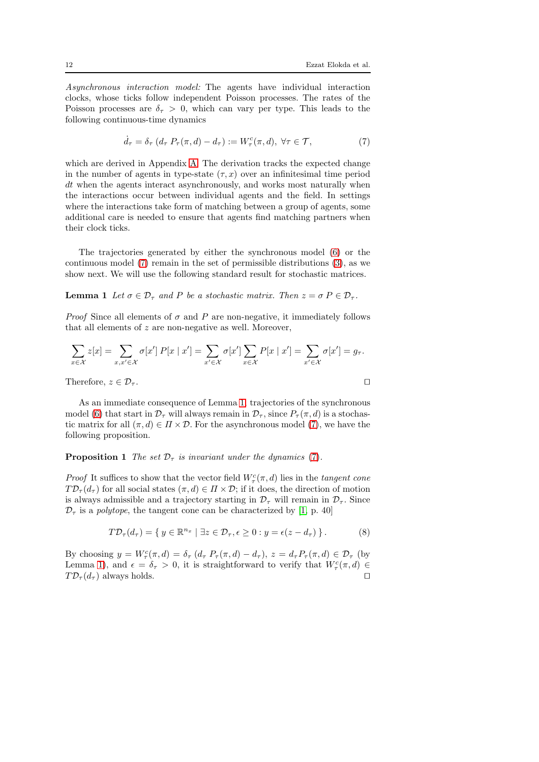Asynchronous interaction model: The agents have individual interaction clocks, whose ticks follow independent Poisson processes. The rates of the Poisson processes are  $\delta_{\tau} > 0$ , which can vary per type. This leads to the following continuous-time dynamics

<span id="page-11-0"></span>
$$
\dot{d}_{\tau} = \delta_{\tau} \left( d_{\tau} P_{\tau}(\pi, d) - d_{\tau} \right) := W_{\tau}^{c}(\pi, d), \ \forall \tau \in \mathcal{T}, \tag{7}
$$

which are derived in Appendix [A.](#page-25-0) The derivation tracks the expected change in the number of agents in type-state  $(\tau, x)$  over an infinitesimal time period dt when the agents interact asynchronously, and works most naturally when the interactions occur between individual agents and the field. In settings where the interactions take form of matching between a group of agents, some additional care is needed to ensure that agents find matching partners when their clock ticks.

The trajectories generated by either the synchronous model [\(6\)](#page-10-1) or the continuous model [\(7\)](#page-11-0) remain in the set of permissible distributions [\(3\)](#page-8-1), as we show next. We will use the following standard result for stochastic matrices.

<span id="page-11-1"></span>**Lemma 1** Let  $\sigma \in \mathcal{D}_{\tau}$  and P be a stochastic matrix. Then  $z = \sigma P \in \mathcal{D}_{\tau}$ .

*Proof* Since all elements of  $\sigma$  and P are non-negative, it immediately follows that all elements of  $z$  are non-negative as well. Moreover,

$$
\sum_{x \in \mathcal{X}} z[x] = \sum_{x, x' \in \mathcal{X}} \sigma[x'] \, P[x \mid x'] = \sum_{x' \in \mathcal{X}} \sigma[x'] \sum_{x \in \mathcal{X}} P[x \mid x'] = \sum_{x' \in \mathcal{X}} \sigma[x'] = g_{\tau}.
$$
\nTherefore

\n
$$
x \in \mathcal{D}
$$

Therefore,  $z \in \mathcal{D}_{\tau}$ .

As an immediate consequence of Lemma [1,](#page-11-1) trajectories of the synchronous model [\(6\)](#page-10-1) that start in  $\mathcal{D}_{\tau}$  will always remain in  $\mathcal{D}_{\tau}$ , since  $P_{\tau}(\pi, d)$  is a stochastic matrix for all  $(\pi, d) \in \Pi \times \mathcal{D}$ . For the asynchronous model [\(7\)](#page-11-0), we have the following proposition.

### <span id="page-11-2"></span>**Proposition 1** The set  $\mathcal{D}_{\tau}$  is invariant under the dynamics [\(7\)](#page-11-0).

*Proof* It suffices to show that the vector field  $W^c_\tau(\pi, d)$  lies in the tangent cone  $T\mathcal{D}_{\tau}(d_{\tau})$  for all social states  $(\pi, d) \in \Pi \times \mathcal{D}$ ; if it does, the direction of motion is always admissible and a trajectory starting in  $\mathcal{D}_{\tau}$  will remain in  $\mathcal{D}_{\tau}$ . Since  $\mathcal{D}_{\tau}$  is a polytope, the tangent cone can be characterized by [\[1,](#page-26-0) p. 40]

$$
T\mathcal{D}_{\tau}(d_{\tau}) = \{ y \in \mathbb{R}^{n_x} \mid \exists z \in \mathcal{D}_{\tau}, \epsilon \ge 0 : y = \epsilon(z - d_{\tau}) \}.
$$
 (8)

By choosing  $y = W^c_\tau(\pi, d) = \delta_\tau (d_\tau P_\tau(\pi, d) - d_\tau), z = d_\tau P_\tau(\pi, d) \in \mathcal{D}_\tau$  (by Lemma [1\)](#page-11-1), and  $\epsilon = \delta_{\tau} > 0$ , it is straightforward to verify that  $W_{\tau}^{c}(\pi, d) \in$  $T\mathcal{D}_{\tau}(d_{\tau})$  always holds. □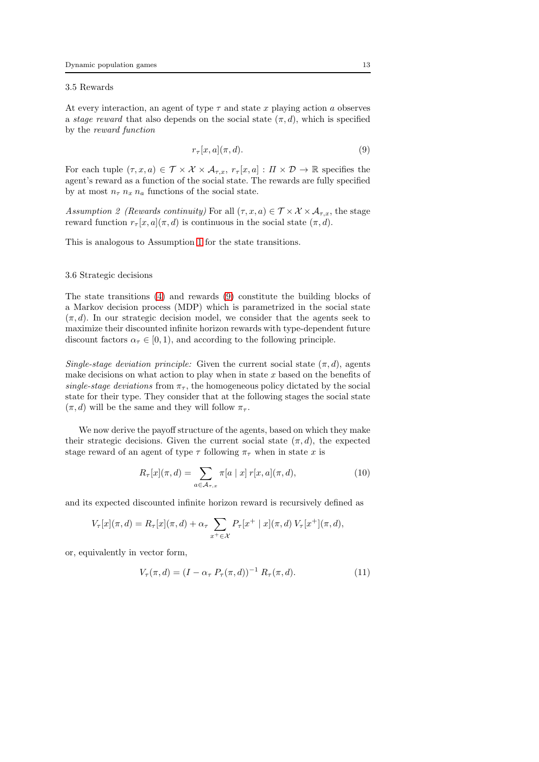#### 3.5 Rewards

At every interaction, an agent of type  $\tau$  and state x playing action a observes a *stage reward* that also depends on the social state  $(\pi, d)$ , which is specified by the reward function

<span id="page-12-0"></span>
$$
r_{\tau}[x,a](\pi,d). \tag{9}
$$

For each tuple  $(\tau, x, a) \in \mathcal{T} \times \mathcal{X} \times \mathcal{A}_{\tau, x}, r_{\tau}[x, a] : \Pi \times \mathcal{D} \to \mathbb{R}$  specifies the agent's reward as a function of the social state. The rewards are fully specified by at most  $n_{\tau} n_x n_a$  functions of the social state.

Assumption 2 (Rewards continuity) For all  $(\tau, x, a) \in \mathcal{T} \times \mathcal{X} \times \mathcal{A}_{\tau,x}$ , the stage reward function  $r_\tau[x, a](\pi, d)$  is continuous in the social state  $(\pi, d)$ .

This is analogous to Assumption [1](#page-10-2) for the state transitions.

#### 3.6 Strategic decisions

The state transitions [\(4\)](#page-10-3) and rewards [\(9\)](#page-12-0) constitute the building blocks of a Markov decision process (MDP) which is parametrized in the social state  $(\pi, d)$ . In our strategic decision model, we consider that the agents seek to maximize their discounted infinite horizon rewards with type-dependent future discount factors  $\alpha_{\tau} \in [0, 1)$ , and according to the following principle.

Single-stage deviation principle: Given the current social state  $(\pi, d)$ , agents make decisions on what action to play when in state  $x$  based on the benefits of single-stage deviations from  $\pi_{\tau}$ , the homogeneous policy dictated by the social state for their type. They consider that at the following stages the social state  $(\pi, d)$  will be the same and they will follow  $\pi_{\tau}$ .

We now derive the payoff structure of the agents, based on which they make their strategic decisions. Given the current social state  $(\pi, d)$ , the expected stage reward of an agent of type  $\tau$  following  $\pi_{\tau}$  when in state x is

<span id="page-12-2"></span>
$$
R_{\tau}[x](\pi, d) = \sum_{a \in \mathcal{A}_{\tau, x}} \pi[a \mid x] \, r[x, a](\pi, d), \tag{10}
$$

and its expected discounted infinite horizon reward is recursively defined as

$$
V_{\tau}[x](\pi, d) = R_{\tau}[x](\pi, d) + \alpha_{\tau} \sum_{x^{+} \in \mathcal{X}} P_{\tau}[x^{+} | x](\pi, d) V_{\tau}[x^{+}](\pi, d),
$$

or, equivalently in vector form,

<span id="page-12-1"></span>
$$
V_{\tau}(\pi, d) = (I - \alpha_{\tau} P_{\tau}(\pi, d))^{-1} R_{\tau}(\pi, d). \tag{11}
$$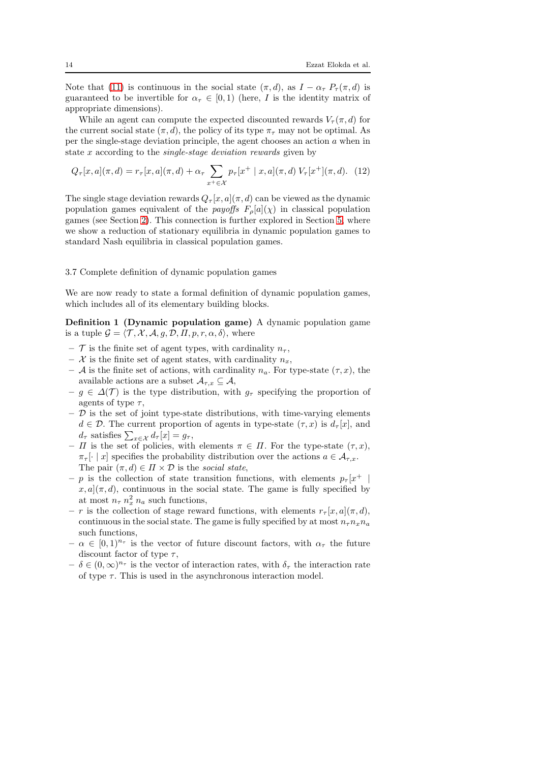Note that [\(11\)](#page-12-1) is continuous in the social state  $(\pi, d)$ , as  $I - \alpha_{\tau} P_{\tau}(\pi, d)$  is guaranteed to be invertible for  $\alpha_{\tau} \in [0,1)$  (here, I is the identity matrix of appropriate dimensions).

While an agent can compute the expected discounted rewards  $V_\tau(\pi, d)$  for the current social state  $(\pi, d)$ , the policy of its type  $\pi<sub>\tau</sub>$  may not be optimal. As per the single-stage deviation principle, the agent chooses an action  $a$  when in state x according to the single-stage deviation rewards given by

<span id="page-13-1"></span>
$$
Q_{\tau}[x, a](\pi, d) = r_{\tau}[x, a](\pi, d) + \alpha_{\tau} \sum_{x^+ \in \mathcal{X}} p_{\tau}[x^+ \mid x, a](\pi, d) V_{\tau}[x^+](\pi, d). \tag{12}
$$

The single stage deviation rewards  $Q_{\tau}[x, a](\pi, d)$  can be viewed as the dynamic population games equivalent of the *payoffs*  $F_{\rho}[a](\chi)$  in classical population games (see Section [2\)](#page-6-0). This connection is further explored in Section [5,](#page-17-0) where we show a reduction of stationary equilibria in dynamic population games to standard Nash equilibria in classical population games.

## <span id="page-13-2"></span>3.7 Complete definition of dynamic population games

<span id="page-13-0"></span>We are now ready to state a formal definition of dynamic population games, which includes all of its elementary building blocks.

Definition 1 (Dynamic population game) A dynamic population game is a tuple  $\mathcal{G} = \langle \mathcal{T}, \mathcal{X}, \mathcal{A}, g, \mathcal{D}, \Pi, p, r, \alpha, \delta \rangle$ , where

- $-$  T is the finite set of agent types, with cardinality  $n_{\tau}$ ,
- X is the finite set of agent states, with cardinality  $n_x$ ,
- A is the finite set of actions, with cardinality  $n_a$ . For type-state  $(\tau, x)$ , the available actions are a subset  $\mathcal{A}_{\tau,x} \subseteq \mathcal{A}$ ,
- $-g \in \Delta(\mathcal{T})$  is the type distribution, with  $g_{\tau}$  specifying the proportion of agents of type  $\tau$ ,
- $-$  D is the set of joint type-state distributions, with time-varying elements  $d \in \mathcal{D}$ . The current proportion of agents in type-state  $(\tau, x)$  is  $d_{\tau}[x]$ , and  $d_{\tau}$  satisfies  $\sum_{x \in \mathcal{X}} d_{\tau}[x] = g_{\tau},$
- $\Pi$  is the set of policies, with elements  $\pi \in \Pi$ . For the type-state  $(\tau, x)$ ,  $\pi_{\tau}[\cdot | x]$  specifies the probability distribution over the actions  $a \in \mathcal{A}_{\tau}$ . The pair  $(\pi, d) \in \Pi \times \mathcal{D}$  is the social state,
- $-p$  is the collection of state transition functions, with elements  $p_{\tau}[x^+$  $x, a | (\pi, d)$ , continuous in the social state. The game is fully specified by at most  $n_{\tau}$   $n_x^2$   $n_a$  such functions,
- r is the collection of stage reward functions, with elements  $r_{\tau}[x, a](\pi, d)$ , continuous in the social state. The game is fully specified by at most  $n_{\tau}n_{x}n_{a}$ such functions,
- $-\alpha \in [0,1]^{n_{\tau}}$  is the vector of future discount factors, with  $\alpha_{\tau}$  the future discount factor of type  $\tau$ ,
- $-\delta \in (0,\infty)^{n_{\tau}}$  is the vector of interaction rates, with  $\delta_{\tau}$  the interaction rate of type  $\tau$ . This is used in the asynchronous interaction model.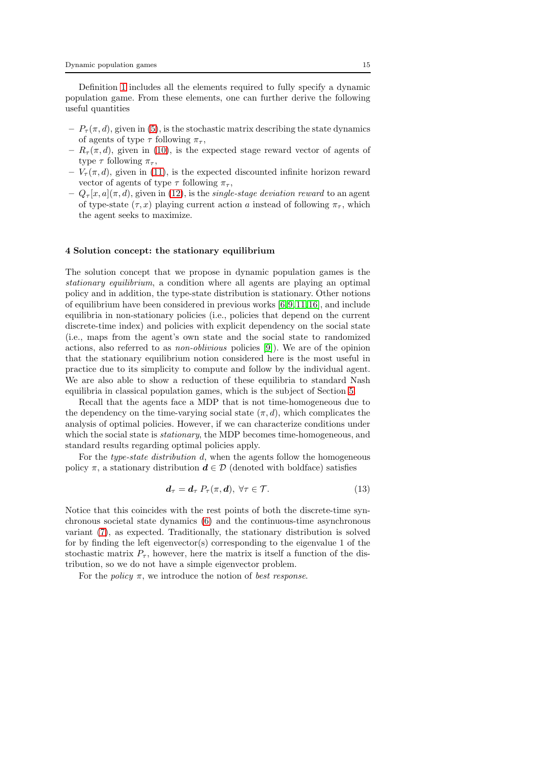Definition [1](#page-13-0) includes all the elements required to fully specify a dynamic population game. From these elements, one can further derive the following useful quantities

- $-P_{\tau}(\pi, d)$ , given in [\(5\)](#page-10-4), is the stochastic matrix describing the state dynamics of agents of type  $\tau$  following  $\pi_{\tau}$ ,
- $-R_{\tau}(\pi, d)$ , given in [\(10\)](#page-12-2), is the expected stage reward vector of agents of type  $\tau$  following  $\pi_{\tau}$ ,
- $-V_{\tau}(\pi, d)$ , given in [\(11\)](#page-12-1), is the expected discounted infinite horizon reward vector of agents of type  $\tau$  following  $\pi_{\tau}$ ,
- $-Q_{\tau}[x, a](\pi, d)$ , given in [\(12\)](#page-13-1), is the *single-stage deviation reward* to an agent of type-state  $(\tau, x)$  playing current action a instead of following  $\pi_{\tau}$ , which the agent seeks to maximize.

### <span id="page-14-0"></span>4 Solution concept: the stationary equilibrium

The solution concept that we propose in dynamic population games is the stationary equilibrium, a condition where all agents are playing an optimal policy and in addition, the type-state distribution is stationary. Other notions of equilibrium have been considered in previous works [\[6,](#page-26-5)[9,](#page-26-8)[11,](#page-26-10)[16\]](#page-26-15), and include equilibria in non-stationary policies (i.e., policies that depend on the current discrete-time index) and policies with explicit dependency on the social state (i.e., maps from the agent's own state and the social state to randomized actions, also referred to as non-oblivious policies [\[9\]](#page-26-8)). We are of the opinion that the stationary equilibrium notion considered here is the most useful in practice due to its simplicity to compute and follow by the individual agent. We are also able to show a reduction of these equilibria to standard Nash equilibria in classical population games, which is the subject of Section [5.](#page-17-0)

Recall that the agents face a MDP that is not time-homogeneous due to the dependency on the time-varying social state  $(\pi, d)$ , which complicates the analysis of optimal policies. However, if we can characterize conditions under which the social state is *stationary*, the MDP becomes time-homogeneous, and standard results regarding optimal policies apply.

For the type-state distribution d, when the agents follow the homogeneous policy  $\pi$ , a stationary distribution  $d \in \mathcal{D}$  (denoted with boldface) satisfies

$$
\mathbf{d}_{\tau} = \mathbf{d}_{\tau} \, P_{\tau}(\pi, \mathbf{d}), \, \forall \tau \in \mathcal{T}.
$$
 (13)

Notice that this coincides with the rest points of both the discrete-time synchronous societal state dynamics [\(6\)](#page-10-1) and the continuous-time asynchronous variant [\(7\)](#page-11-0), as expected. Traditionally, the stationary distribution is solved for by finding the left eigenvector(s) corresponding to the eigenvalue 1 of the stochastic matrix  $P_{\tau}$ , however, here the matrix is itself a function of the distribution, so we do not have a simple eigenvector problem.

For the *policy*  $\pi$ , we introduce the notion of *best response*.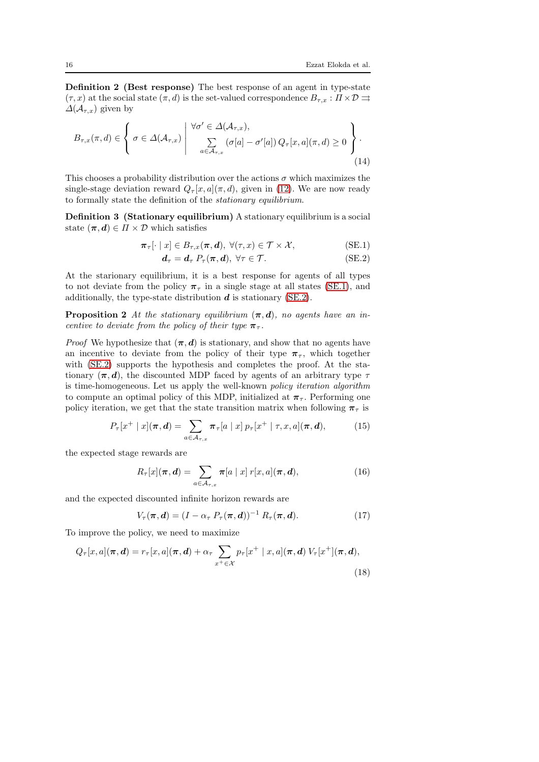Definition 2 (Best response) The best response of an agent in type-state  $(\tau, x)$  at the social state  $(\pi, d)$  is the set-valued correspondence  $B_{\tau,x}: \Pi \times \mathcal{D} \rightrightarrows$  $\Delta(\mathcal{A}_{\tau,x})$  given by

$$
B_{\tau,x}(\pi,d) \in \left\{ \sigma \in \Delta(\mathcal{A}_{\tau,x}) \; \middle| \; \begin{array}{c} \forall \sigma' \in \Delta(\mathcal{A}_{\tau,x}), \\ \sum_{a \in \mathcal{A}_{\tau,x}} (\sigma[a] - \sigma'[a]) Q_{\tau}[x,a](\pi,d) \ge 0 \end{array} \right\}.
$$
\n(14)

This chooses a probability distribution over the actions  $\sigma$  which maximizes the single-stage deviation reward  $Q_{\tau}[x, a](\pi, d)$ , given in [\(12\)](#page-13-1). We are now ready to formally state the definition of the stationary equilibrium.

Definition 3 (Stationary equilibrium) A stationary equilibrium is a social state  $(\pi, d) \in \Pi \times \mathcal{D}$  which satisfies

$$
\boldsymbol{\pi}_{\tau}[\cdot \mid x] \in B_{\tau,x}(\boldsymbol{\pi}, \boldsymbol{d}), \ \forall (\tau, x) \in \mathcal{T} \times \mathcal{X}, \tag{SE.1}
$$

<span id="page-15-7"></span><span id="page-15-1"></span><span id="page-15-0"></span>
$$
\mathbf{d}_{\tau} = \mathbf{d}_{\tau} \ P_{\tau}(\boldsymbol{\pi}, \mathbf{d}), \ \forall \tau \in \mathcal{T}.\tag{SE.2}
$$

At the starionary equilibrium, it is a best response for agents of all types to not deviate from the policy  $\pi_{\tau}$  in a single stage at all states [\(SE.1\)](#page-15-0), and additionally, the type-state distribution  $d$  is stationary [\(SE.2\)](#page-15-1).

<span id="page-15-6"></span>**Proposition 2** At the stationary equilibrium  $(\pi, d)$ , no agents have an incentive to deviate from the policy of their type  $\pi_{\tau}$ .

*Proof* We hypothesize that  $(\pi, d)$  is stationary, and show that no agents have an incentive to deviate from the policy of their type  $\pi_{\tau}$ , which together with [\(SE.2\)](#page-15-1) supports the hypothesis and completes the proof. At the stationary  $(\pi, d)$ , the discounted MDP faced by agents of an arbitrary type  $\tau$ is time-homogeneous. Let us apply the well-known policy iteration algorithm to compute an optimal policy of this MDP, initialized at  $\pi_{\tau}$ . Performing one policy iteration, we get that the state transition matrix when following  $\pi_{\tau}$  is

$$
P_{\tau}[x^+ \mid x](\boldsymbol{\pi}, \boldsymbol{d}) = \sum_{a \in \mathcal{A}_{\tau,x}} \boldsymbol{\pi}_{\tau}[a \mid x] \ p_{\tau}[x^+ \mid \tau, x, a](\boldsymbol{\pi}, \boldsymbol{d}), \tag{15}
$$

the expected stage rewards are

<span id="page-15-3"></span><span id="page-15-2"></span>
$$
R_{\tau}[x](\boldsymbol{\pi},\boldsymbol{d})=\sum_{a\in\mathcal{A}_{\tau,x}}\boldsymbol{\pi}[a\mid x]\;r[x,a](\boldsymbol{\pi},\boldsymbol{d}),\qquad(16)
$$

and the expected discounted infinite horizon rewards are

<span id="page-15-5"></span><span id="page-15-4"></span>
$$
V_{\tau}(\boldsymbol{\pi},\boldsymbol{d})=(I-\alpha_{\tau} P_{\tau}(\boldsymbol{\pi},\boldsymbol{d}))^{-1} R_{\tau}(\boldsymbol{\pi},\boldsymbol{d}). \qquad (17)
$$

To improve the policy, we need to maximize

$$
Q_{\tau}[x,a](\boldsymbol{\pi},\boldsymbol{d}) = r_{\tau}[x,a](\boldsymbol{\pi},\boldsymbol{d}) + \alpha_{\tau} \sum_{x^+ \in \mathcal{X}} p_{\tau}[x^+ \mid x,a](\boldsymbol{\pi},\boldsymbol{d}) V_{\tau}[x^+](\boldsymbol{\pi},\boldsymbol{d}),
$$
\n(18)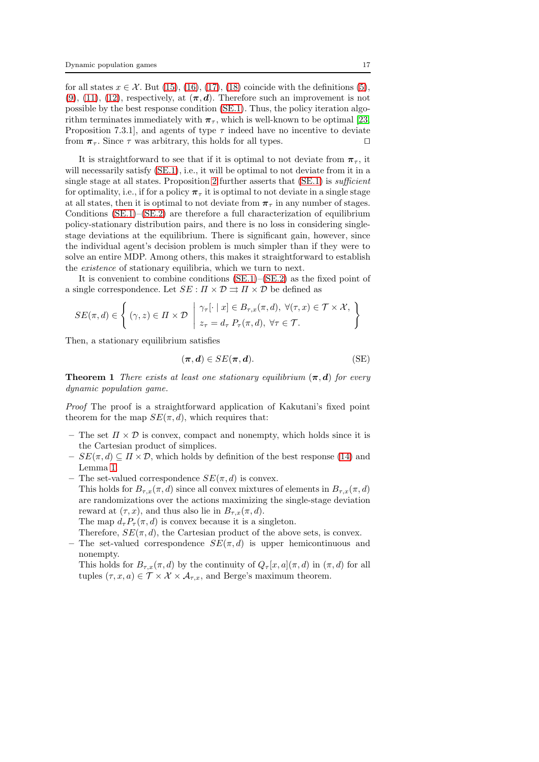for all states  $x \in \mathcal{X}$ . But [\(15\)](#page-15-2), [\(16\)](#page-15-3), [\(17\)](#page-15-4), [\(18\)](#page-15-5) coincide with the definitions [\(5\)](#page-10-4),  $(9)$ ,  $(11)$ ,  $(12)$ , respectively, at  $(\pi, d)$ . Therefore such an improvement is not possible by the best response condition [\(SE.1\)](#page-15-0). Thus, the policy iteration algorithm terminates immediately with  $\pi_{\tau}$ , which is well-known to be optimal [\[23,](#page-26-22) Proposition 7.3.1], and agents of type  $\tau$  indeed have no incentive to deviate from  $\pi_{\tau}$ . Since  $\tau$  was arbitrary, this holds for all types. □

It is straightforward to see that if it is optimal to not deviate from  $\pi_{\tau}$ , it will necessarily satisfy  $(SE.1)$ , i.e., it will be optimal to not deviate from it in a single stage at all states. Proposition [2](#page-15-6) further asserts that [\(SE.1\)](#page-15-0) is sufficient for optimality, i.e., if for a policy  $\pi_{\tau}$  it is optimal to not deviate in a single stage at all states, then it is optimal to not deviate from  $\pi_{\tau}$  in any number of stages. Conditions [\(SE.1\)](#page-15-0)–[\(SE.2\)](#page-15-1) are therefore a full characterization of equilibrium policy-stationary distribution pairs, and there is no loss in considering singlestage deviations at the equilibrium. There is significant gain, however, since the individual agent's decision problem is much simpler than if they were to solve an entire MDP. Among others, this makes it straightforward to establish the existence of stationary equilibria, which we turn to next.

It is convenient to combine conditions [\(SE.1\)](#page-15-0)–[\(SE.2\)](#page-15-1) as the fixed point of a single correspondence. Let  $SE: \Pi \times \mathcal{D} \rightrightarrows \Pi \times \mathcal{D}$  be defined as

$$
SE(\pi, d) \in \left\{ (\gamma, z) \in \Pi \times \mathcal{D} \mid z_{\tau} \in B_{\tau, x}(\pi, d), \ \forall (\tau, x) \in \mathcal{T} \times \mathcal{X}, \atop z_{\tau} = d_{\tau} P_{\tau}(\pi, d), \ \forall \tau \in \mathcal{T}.
$$

Then, a stationary equilibrium satisfies

$$
(\pi, d) \in SE(\pi, d). \tag{SE}
$$

<span id="page-16-0"></span>**Theorem 1** There exists at least one stationary equilibrium  $(\pi, d)$  for every dynamic population game.

Proof The proof is a straightforward application of Kakutani's fixed point theorem for the map  $SE(\pi, d)$ , which requires that:

- The set  $\Pi \times \mathcal{D}$  is convex, compact and nonempty, which holds since it is the Cartesian product of simplices.
- $SE(\pi, d) \subseteq \Pi \times \mathcal{D}$ , which holds by definition of the best response [\(14\)](#page-15-7) and Lemma [1.](#page-11-1)
- The set-valued correspondence  $SE(\pi, d)$  is convex. This holds for  $B_{\tau,x}(\pi, d)$  since all convex mixtures of elements in  $B_{\tau,x}(\pi, d)$ are randomizations over the actions maximizing the single-stage deviation reward at  $(\tau, x)$ , and thus also lie in  $B_{\tau, x}(\pi, d)$ . The map  $d_{\tau}P_{\tau}(\pi, d)$  is convex because it is a singleton.

Therefore,  $SE(\pi, d)$ , the Cartesian product of the above sets, is convex.

The set-valued correspondence  $SE(\pi, d)$  is upper hemicontinuous and nonempty.

This holds for  $B_{\tau,x}(\pi, d)$  by the continuity of  $Q_{\tau}[x, a](\pi, d)$  in  $(\pi, d)$  for all tuples  $(\tau, x, a) \in \mathcal{T} \times \mathcal{X} \times \mathcal{A}_{\tau,x}$ , and Berge's maximum theorem.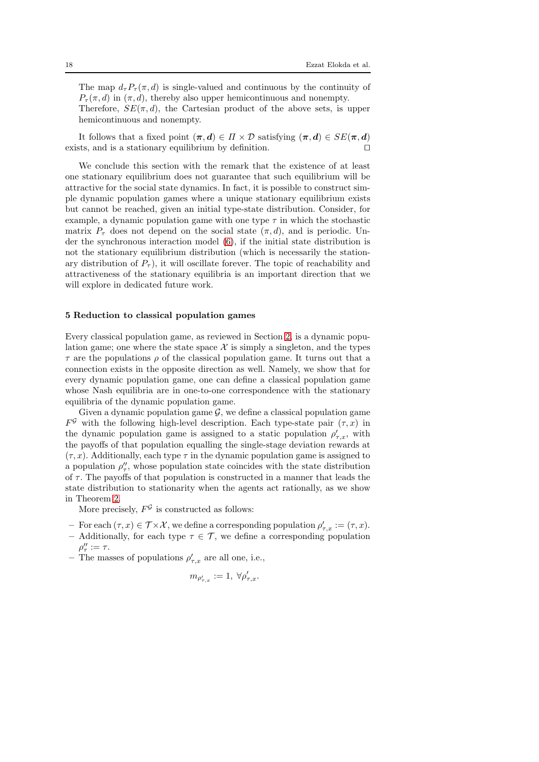The map  $d_{\tau}P_{\tau}(\pi, d)$  is single-valued and continuous by the continuity of  $P_{\tau}(\pi, d)$  in  $(\pi, d)$ , thereby also upper hemicontinuous and nonempty.

Therefore,  $SE(\pi, d)$ , the Cartesian product of the above sets, is upper hemicontinuous and nonempty.

It follows that a fixed point  $(\pi, d) \in \Pi \times \mathcal{D}$  satisfying  $(\pi, d) \in SE(\pi, d)$ exists, and is a stationary equilibrium by definition. ⊓⊔

We conclude this section with the remark that the existence of at least one stationary equilibrium does not guarantee that such equilibrium will be attractive for the social state dynamics. In fact, it is possible to construct simple dynamic population games where a unique stationary equilibrium exists but cannot be reached, given an initial type-state distribution. Consider, for example, a dynamic population game with one type  $\tau$  in which the stochastic matrix  $P_{\tau}$  does not depend on the social state  $(\pi, d)$ , and is periodic. Under the synchronous interaction model [\(6\)](#page-10-1), if the initial state distribution is not the stationary equilibrium distribution (which is necessarily the stationary distribution of  $P_{\tau}$ ), it will oscillate forever. The topic of reachability and attractiveness of the stationary equilibria is an important direction that we will explore in dedicated future work.

### <span id="page-17-0"></span>5 Reduction to classical population games

Every classical population game, as reviewed in Section [2,](#page-6-0) is a dynamic population game; one where the state space  $\mathcal X$  is simply a singleton, and the types  $\tau$  are the populations  $\rho$  of the classical population game. It turns out that a connection exists in the opposite direction as well. Namely, we show that for every dynamic population game, one can define a classical population game whose Nash equilibria are in one-to-one correspondence with the stationary equilibria of the dynamic population game.

Given a dynamic population game  $\mathcal{G}$ , we define a classical population game  $F^{\mathcal{G}}$  with the following high-level description. Each type-state pair  $(\tau, x)$  in the dynamic population game is assigned to a static population  $\rho'_{\tau,x}$ , with the payoffs of that population equalling the single-stage deviation rewards at  $(\tau, x)$ . Additionally, each type  $\tau$  in the dynamic population game is assigned to a population  $\rho''_{\tau}$ , whose population state coincides with the state distribution of  $\tau$ . The payoffs of that population is constructed in a manner that leads the state distribution to stationarity when the agents act rationally, as we show in Theorem [2.](#page-18-0)

More precisely,  $F^{\mathcal{G}}$  is constructed as follows:

- For each  $(\tau, x) \in \mathcal{T} \times \mathcal{X}$ , we define a corresponding population  $\rho'_{\tau, x} := (\tau, x)$ .
- Additionally, for each type  $\tau \in \mathcal{T}$ , we define a corresponding population  $\rho''_{\tau}:=\tau.$
- The masses of populations  $\rho'_{\tau,x}$  are all one, i.e.,

$$
m_{\rho'_{\tau,x}}:=1, \ \forall \rho'_{\tau,x}.
$$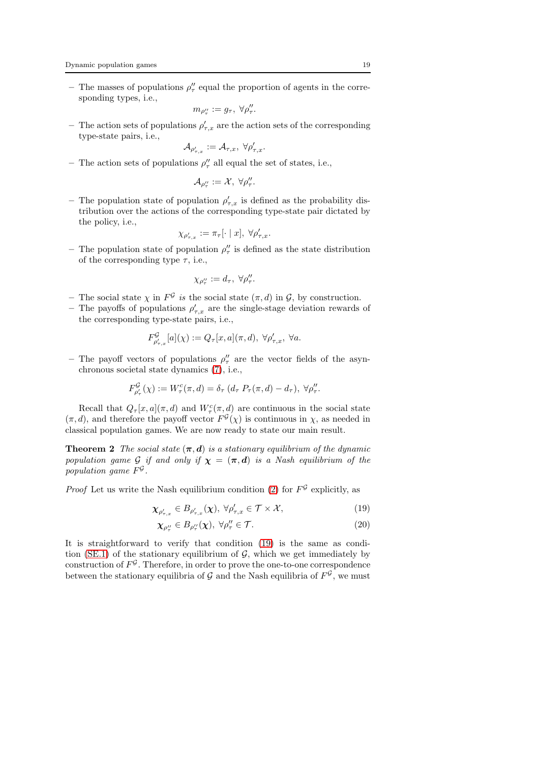– The masses of populations  $\rho_{\tau}^{\prime\prime}$  equal the proportion of agents in the corresponding types, i.e.,

$$
m_{\rho''_\tau}:=g_\tau,\;\forall \rho''_\tau.
$$

– The action sets of populations  $\rho'_{\tau,x}$  are the action sets of the corresponding type-state pairs, i.e.,

$$
\mathcal{A}_{\rho'_{\tau,x}}:=\mathcal{A}_{\tau,x},\;\forall\rho'_{\tau,x}.
$$

– The action sets of populations  $\rho''_{\tau}$  all equal the set of states, i.e.,

$$
\mathcal{A}_{\rho_\tau^{\prime\prime}}:=\mathcal{X},\ \forall \rho_\tau^{\prime\prime}.
$$

– The population state of population  $\rho'_{\tau,x}$  is defined as the probability distribution over the actions of the corresponding type-state pair dictated by the policy, i.e.,

$$
\chi_{\rho'_{\tau,x}} := \pi_{\tau}[\cdot \mid x], \ \forall \rho'_{\tau,x}.
$$

– The population state of population  $\rho''_{\tau}$  is defined as the state distribution of the corresponding type  $\tau$ , i.e.,

$$
\chi_{\rho''_{\tau}} := d_{\tau}, \ \forall \rho''_{\tau}.
$$

- The social state  $\chi$  in  $F^{\mathcal{G}}$  is the social state  $(\pi, d)$  in  $\mathcal{G}$ , by construction.
- The payoffs of populations  $\rho'_{\tau,x}$  are the single-stage deviation rewards of the corresponding type-state pairs, i.e.,

$$
F^{\mathcal{G}}_{\rho'_{\tau,x}}[a](\chi):=Q_{\tau}[x,a](\pi,d),\ \forall \rho'_{\tau,x},\ \forall a.
$$

– The payoff vectors of populations  $\rho''_{\tau}$  are the vector fields of the asynchronous societal state dynamics [\(7\)](#page-11-0), i.e.,

$$
F^{\mathcal{G}}_{\rho'_\tau}(\chi) := W^c_\tau(\pi, d) = \delta_\tau \left( d_\tau \ P_\tau(\pi, d) - d_\tau \right), \ \forall \rho''_\tau.
$$

Recall that  $Q_{\tau}[x, a](\pi, d)$  and  $W_{\tau}^{c}(\pi, d)$  are continuous in the social state  $(\pi, d)$ , and therefore the payoff vector  $F^{\mathcal{G}}(\chi)$  is continuous in  $\chi$ , as needed in classical population games. We are now ready to state our main result.

<span id="page-18-0"></span>**Theorem 2** The social state  $(\pi, d)$  is a stationary equilibrium of the dynamic population game G if and only if  $\chi = (\pi, d)$  is a Nash equilibrium of the population game  $F^{\mathcal{G}}$ .

*Proof* Let us write the Nash equilibrium condition [\(2\)](#page-7-3) for  $F^{\mathcal{G}}$  explicitly, as

$$
\chi_{\rho'_{\tau,x}} \in B_{\rho'_{\tau,x}}(\chi), \ \forall \rho'_{\tau,x} \in \mathcal{T} \times \mathcal{X},\tag{19}
$$

<span id="page-18-2"></span><span id="page-18-1"></span>
$$
\chi_{\rho_{\tau}^{\prime\prime}} \in B_{\rho_{\tau}^{\prime\prime}}(\chi), \ \forall \rho_{\tau}^{\prime\prime} \in \mathcal{T}.\tag{20}
$$

It is straightforward to verify that condition [\(19\)](#page-18-1) is the same as condi-tion [\(SE.1\)](#page-15-0) of the stationary equilibrium of  $G$ , which we get immediately by construction of  $F^{\mathcal{G}}$ . Therefore, in order to prove the one-to-one correspondence between the stationary equilibria of  $G$  and the Nash equilibria of  $F^{\mathcal{G}}$ , we must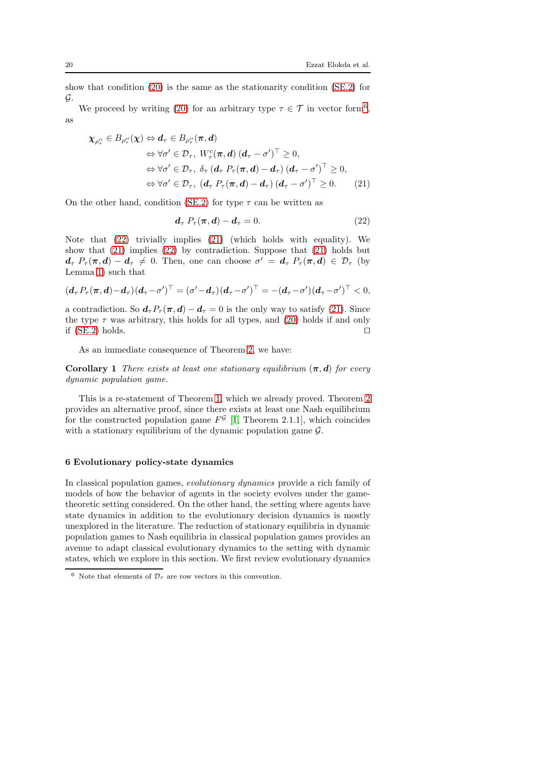show that condition [\(20\)](#page-18-2) is the same as the stationarity condition [\(SE.2\)](#page-15-1) for G.

We proceed by writing [\(20\)](#page-18-2) for an arbitrary type  $\tau \in \mathcal{T}$  in vector form<sup>[6](#page-19-1)</sup>, as

$$
\chi_{\rho_{\tau}^{\prime\prime}} \in B_{\rho_{\tau}^{\prime\prime}}(\chi) \Leftrightarrow d_{\tau} \in B_{\rho_{\tau}^{\prime\prime}}(\pi, d)
$$
  
\n
$$
\Leftrightarrow \forall \sigma^{\prime} \in \mathcal{D}_{\tau}, W_{\tau}^{c}(\pi, d) (d_{\tau} - \sigma^{\prime})^{\top} \ge 0,
$$
  
\n
$$
\Leftrightarrow \forall \sigma^{\prime} \in \mathcal{D}_{\tau}, \delta_{\tau} (d_{\tau} P_{\tau}(\pi, d) - d_{\tau}) (d_{\tau} - \sigma^{\prime})^{\top} \ge 0,
$$
  
\n
$$
\Leftrightarrow \forall \sigma^{\prime} \in \mathcal{D}_{\tau}, (d_{\tau} P_{\tau}(\pi, d) - d_{\tau}) (d_{\tau} - \sigma^{\prime})^{\top} \ge 0.
$$
 (21)

On the other hand, condition [\(SE.2\)](#page-15-1) for type  $\tau$  can be written as

<span id="page-19-3"></span><span id="page-19-2"></span>
$$
\mathbf{d}_{\tau} P_{\tau}(\boldsymbol{\pi}, \mathbf{d}) - \mathbf{d}_{\tau} = 0. \tag{22}
$$

Note that [\(22\)](#page-19-2) trivially implies [\(21\)](#page-19-3) (which holds with equality). We show that  $(21)$  implies  $(22)$  by contradiction. Suppose that  $(21)$  holds but  $d_{\tau}$   $P_{\tau}(\pi, d) - d_{\tau} \neq 0$ . Then, one can choose  $\sigma' = d_{\tau}$   $P_{\tau}(\pi, d) \in \mathcal{D}_{\tau}$  (by Lemma [1\)](#page-11-1) such that

$$
(d_{\tau} P_{\tau}(\boldsymbol{\pi},\boldsymbol{d})-d_{\tau})(d_{\tau}-\sigma')^{\top}=(\sigma'-d_{\tau})(d_{\tau}-\sigma')^{\top}=-(d_{\tau}-\sigma')(d_{\tau}-\sigma')^{\top}<0,
$$

a contradiction. So  $d_{\tau}P_{\tau}(\pi, d) - d_{\tau} = 0$  is the only way to satisfy [\(21\)](#page-19-3). Since the type  $\tau$  was arbitrary, this holds for all types, and [\(20\)](#page-18-2) holds if and only if [\(SE.2\)](#page-15-1) holds.  $□$ 

As an immediate consequence of Theorem [2,](#page-18-0) we have:

**Corollary 1** There exists at least one stationary equilibrium  $(\pi, d)$  for every dynamic population game.

This is a re-statement of Theorem [1,](#page-16-0) which we already proved. Theorem [2](#page-18-0) provides an alternative proof, since there exists at least one Nash equilibrium for the constructed population game  $F^{\mathcal{G}}$  [\[1,](#page-26-0) Theorem 2.1.1], which coincides with a stationary equilibrium of the dynamic population game  $\mathcal{G}$ .

## <span id="page-19-0"></span>6 Evolutionary policy-state dynamics

In classical population games, evolutionary dynamics provide a rich family of models of how the behavior of agents in the society evolves under the gametheoretic setting considered. On the other hand, the setting where agents have state dynamics in addition to the evolutionary decision dynamics is mostly unexplored in the literature. The reduction of stationary equilibria in dynamic population games to Nash equilibria in classical population games provides an avenue to adapt classical evolutionary dynamics to the setting with dynamic states, which we explore in this section. We first review evolutionary dynamics

<span id="page-19-1"></span><sup>&</sup>lt;sup>6</sup> Note that elements of  $\mathcal{D}_{\tau}$  are row vectors in this convention.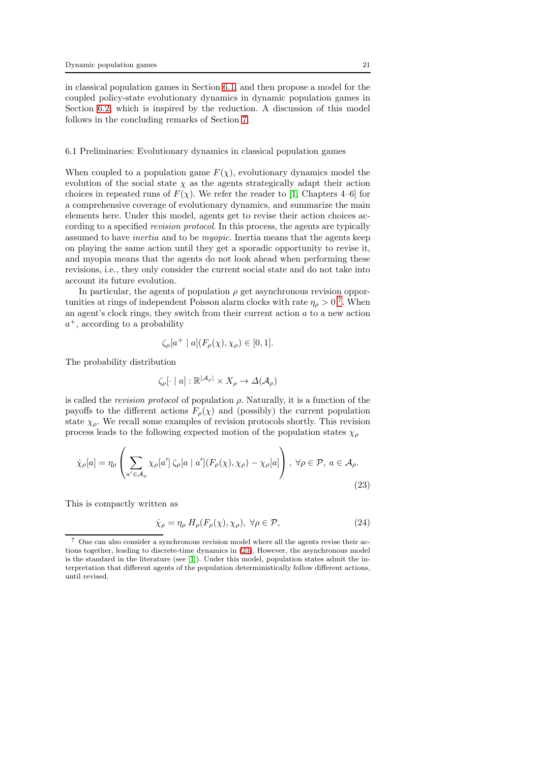in classical population games in Section [6.1,](#page-20-0) and then propose a model for the coupled policy-state evolutionary dynamics in dynamic population games in Section [6.2,](#page-22-0) which is inspired by the reduction. A discussion of this model follows in the concluding remarks of Section [7.](#page-23-0)

#### <span id="page-20-0"></span>6.1 Preliminaries: Evolutionary dynamics in classical population games

When coupled to a population game  $F(\chi)$ , evolutionary dynamics model the evolution of the social state  $\chi$  as the agents strategically adapt their action choices in repeated runs of  $F(\chi)$ . We refer the reader to [\[1,](#page-26-0) Chapters 4–6] for a comprehensive coverage of evolutionary dynamics, and summarize the main elements here. Under this model, agents get to revise their action choices according to a specified revision protocol. In this process, the agents are typically assumed to have inertia and to be myopic. Inertia means that the agents keep on playing the same action until they get a sporadic opportunity to revise it, and myopia means that the agents do not look ahead when performing these revisions, i.e., they only consider the current social state and do not take into account its future evolution.

In particular, the agents of population  $\rho$  get asynchronous revision opportunities at rings of independent Poisson alarm clocks with rate  $\eta_{\rho} > 0$ <sup>[7](#page-20-1)</sup>. When an agent's clock rings, they switch from their current action a to a new action  $a^+$ , according to a probability

$$
\zeta_{\rho}[a^+ \mid a](F_{\rho}(\chi), \chi_{\rho}) \in [0, 1].
$$

The probability distribution

$$
\zeta_{\rho}[\cdot \mid a] : \mathbb{R}^{|\mathcal{A}_{\rho}|} \times X_{\rho} \to \Delta(\mathcal{A}_{\rho})
$$

is called the *revision protocol* of population  $\rho$ . Naturally, it is a function of the payoffs to the different actions  $F_{\rho}(\chi)$  and (possibly) the current population state  $\chi_{\rho}$ . We recall some examples of revision protocols shortly. This revision process leads to the following expected motion of the population states  $\chi_{\rho}$ 

$$
\dot{\chi}_{\rho}[a] = \eta_{\rho} \left( \sum_{a' \in \mathcal{A}_{\rho}} \chi_{\rho}[a'] \, \zeta_{\rho}[a \mid a'] (F_{\rho}(\chi), \chi_{\rho}) - \chi_{\rho}[a] \right), \,\forall \rho \in \mathcal{P}, \, a \in \mathcal{A}_{\rho}.
$$
\n(23)

This is compactly written as

<span id="page-20-3"></span><span id="page-20-2"></span>
$$
\dot{\chi}_{\rho} = \eta_{\rho} H_{\rho}(F_{\rho}(\chi), \chi_{\rho}), \ \forall \rho \in \mathcal{P}, \tag{24}
$$

<span id="page-20-1"></span><sup>7</sup> One can also consider a synchronous revision model where all the agents revise their actions together, leading to discrete-time dynamics in [\(23\)](#page-20-2). However, the asynchronous model is the standard in the literature (see [\[1\]](#page-26-0)). Under this model, population states admit the interpretation that different agents of the population deterministically follow different actions, until revised.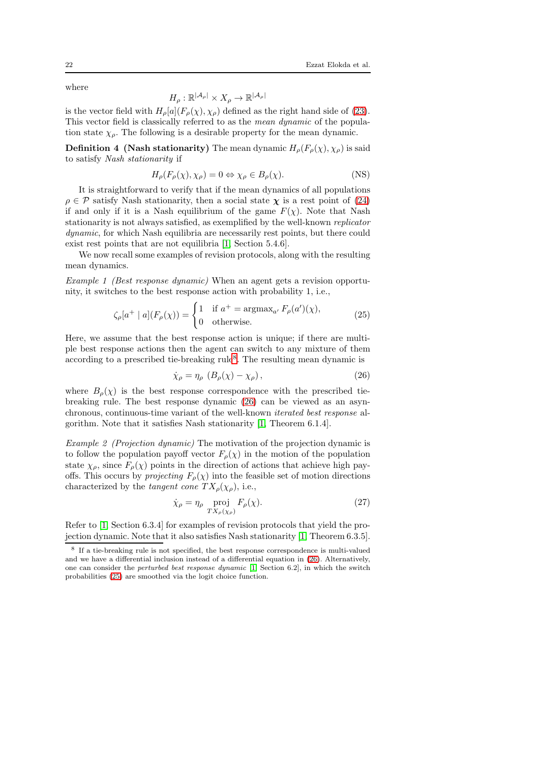where

$$
H_{\rho}: \mathbb{R}^{|\mathcal{A}_{\rho}|} \times X_{\rho} \to \mathbb{R}^{|\mathcal{A}_{\rho}|}
$$

is the vector field with  $H_{\rho}[a](F_{\rho}(\chi), \chi_{\rho})$  defined as the right hand side of [\(23\)](#page-20-2). This vector field is classically referred to as the mean dynamic of the population state  $\chi_{\rho}$ . The following is a desirable property for the mean dynamic.

**Definition 4 (Nash stationarity)** The mean dynamic  $H_o(F_o(\chi), \chi_o)$  is said to satisfy Nash stationarity if

$$
H_{\rho}(F_{\rho}(\chi), \chi_{\rho}) = 0 \Leftrightarrow \chi_{\rho} \in B_{\rho}(\chi). \tag{NS}
$$

It is straightforward to verify that if the mean dynamics of all populations  $\rho \in \mathcal{P}$  satisfy Nash stationarity, then a social state  $\chi$  is a rest point of [\(24\)](#page-20-3) if and only if it is a Nash equilibrium of the game  $F(\chi)$ . Note that Nash stationarity is not always satisfied, as exemplified by the well-known replicator dynamic, for which Nash equilibria are necessarily rest points, but there could exist rest points that are not equilibria [\[1,](#page-26-0) Section 5.4.6].

We now recall some examples of revision protocols, along with the resulting mean dynamics.

Example 1 (Best response dynamic) When an agent gets a revision opportunity, it switches to the best response action with probability 1, i.e.,

$$
\zeta_{\rho}[a^+ \mid a](F_{\rho}(\chi)) = \begin{cases} 1 & \text{if } a^+ = \operatorname{argmax}_{a'} F_{\rho}(a')(\chi), \\ 0 & \text{otherwise.} \end{cases}
$$
 (25)

Here, we assume that the best response action is unique; if there are multiple best response actions then the agent can switch to any mixture of them according to a prescribed tie-breaking rule<sup>[8](#page-21-0)</sup>. The resulting mean dynamic is

<span id="page-21-2"></span><span id="page-21-1"></span>
$$
\dot{\chi}_{\rho} = \eta_{\rho} \left( B_{\rho}(\chi) - \chi_{\rho} \right),\tag{26}
$$

where  $B_{\rho}(\chi)$  is the best response correspondence with the prescribed tiebreaking rule. The best response dynamic [\(26\)](#page-21-1) can be viewed as an asynchronous, continuous-time variant of the well-known iterated best response algorithm. Note that it satisfies Nash stationarity [\[1,](#page-26-0) Theorem 6.1.4].

Example 2 (Projection dynamic) The motivation of the projection dynamic is to follow the population payoff vector  $F_{\rho}(\chi)$  in the motion of the population state  $\chi_{\rho}$ , since  $F_{\rho}(\chi)$  points in the direction of actions that achieve high payoffs. This occurs by *projecting*  $F_{\rho}(\chi)$  into the feasible set of motion directions characterized by the *tangent cone*  $TX_{\rho}(\chi_{\rho}),$  i.e.,

<span id="page-21-3"></span>
$$
\dot{\chi}_{\rho} = \eta_{\rho} \operatorname{proj}_{TX_{\rho}(\chi_{\rho})} F_{\rho}(\chi). \tag{27}
$$

Refer to [\[1,](#page-26-0) Section 6.3.4] for examples of revision protocols that yield the projection dynamic. Note that it also satisfies Nash stationarity [\[1,](#page-26-0) Theorem 6.3.5].

<span id="page-21-0"></span><sup>8</sup> If a tie-breaking rule is not specified, the best response correspondence is multi-valued and we have a differential inclusion instead of a differential equation in [\(26\)](#page-21-1). Alternatively, one can consider the *perturbed best response dynamic* [\[1,](#page-26-0) Section 6.2], in which the switch probabilities [\(25\)](#page-21-2) are smoothed via the logit choice function.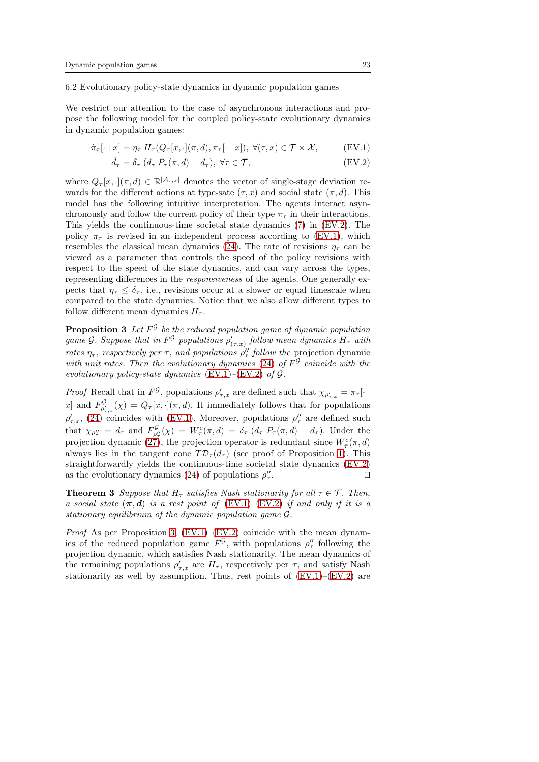<span id="page-22-0"></span>6.2 Evolutionary policy-state dynamics in dynamic population games

We restrict our attention to the case of asynchronous interactions and propose the following model for the coupled policy-state evolutionary dynamics in dynamic population games:

$$
\dot{\pi}_{\tau}[\cdot \mid x] = \eta_{\tau} \ H_{\tau}(Q_{\tau}[x, \cdot](\pi, d), \pi_{\tau}[\cdot \mid x]), \ \forall (\tau, x) \in \mathcal{T} \times \mathcal{X}, \tag{EV.1}
$$

<span id="page-22-2"></span><span id="page-22-1"></span>
$$
\dot{d}_{\tau} = \delta_{\tau} \left( d_{\tau} P_{\tau}(\pi, d) - d_{\tau} \right), \ \forall \tau \in \mathcal{T}, \tag{EV.2}
$$

where  $Q_{\tau}[x, \cdot](\pi, d) \in \mathbb{R}^{|\mathcal{A}_{\tau,x}|}$  denotes the vector of single-stage deviation rewards for the different actions at type-sate  $(\tau, x)$  and social state  $(\pi, d)$ . This model has the following intuitive interpretation. The agents interact asynchronously and follow the current policy of their type  $\pi_{\tau}$  in their interactions. This yields the continuous-time societal state dynamics [\(7\)](#page-11-0) in [\(EV.2\)](#page-22-1). The policy  $\pi_{\tau}$  is revised in an independent process according to [\(EV.1\)](#page-22-2), which resembles the classical mean dynamics [\(24\)](#page-20-3). The rate of revisions  $\eta_{\tau}$  can be viewed as a parameter that controls the speed of the policy revisions with respect to the speed of the state dynamics, and can vary across the types, representing differences in the responsiveness of the agents. One generally expects that  $\eta_{\tau} \leq \delta_{\tau}$ , i.e., revisions occur at a slower or equal timescale when compared to the state dynamics. Notice that we also allow different types to follow different mean dynamics  $H_{\tau}$ .

<span id="page-22-3"></span>**Proposition 3** Let  $F^{\mathcal{G}}$  be the reduced population game of dynamic population game G. Suppose that in  $F^{\mathcal{G}}$  populations  $\rho'_{(\tau,x)}$  follow mean dynamics  $H_{\tau}$  with rates  $\eta_{\tau}$ , respectively per  $\tau$ , and populations  $\rho''_{\tau}$  follow the projection dynamic with unit rates. Then the evolutionary dynamics [\(24\)](#page-20-3) of  $F^{\mathcal{G}}$  coincide with the evolutionary policy-state dynamics  $(EV.1)$ – $(EV.2)$  of  $G$ .

*Proof* Recall that in  $F^{\mathcal{G}}$ , populations  $\rho'_{\tau,x}$  are defined such that  $\chi_{\rho'_{\tau,x}} = \pi_{\tau}[\cdot | \cdot]$ x and  $F^{\mathcal{G}}_{\rho'_{\tau},\tau}(\chi) = Q_{\tau}[x,\cdot](\pi,d)$ . It immediately follows that for populations  $\rho'_{\tau,x}$ , [\(24\)](#page-20-3) coincides with [\(EV.1\)](#page-22-2). Moreover, populations  $\rho''_{\tau}$  are defined such that  $\chi_{\rho''_{\tau}} = d_{\tau}$  and  $F^{\mathcal{G}}_{\rho''_{\tau}}(\chi) = W^c_{\tau}(\pi, d) = \delta_{\tau} (d_{\tau} P_{\tau}(\pi, d) - d_{\tau}).$  Under the projection dynamic [\(27\)](#page-21-3), the projection operator is redundant since  $W_{\tau}^{c}(\pi, d)$ always lies in the tangent cone  $T\mathcal{D}_{\tau}(d_{\tau})$  (see proof of Proposition [1\)](#page-11-2). This straightforwardly yields the continuous-time societal state dynamics [\(EV.2\)](#page-22-1) as the evolutionary dynamics [\(24\)](#page-20-3) of populations  $\rho''_{\tau}$ . ⊓⊔

**Theorem 3** Suppose that  $H_{\tau}$  satisfies Nash stationarity for all  $\tau \in \mathcal{T}$ . Then, a social state  $(\pi, d)$  is a rest point of [\(EV.1\)](#page-22-2)–[\(EV.2\)](#page-22-1) if and only if it is a stationary equilibrium of the dynamic population game G.

*Proof* As per Proposition [3,](#page-22-3)  $(EV.1)$ – $(EV.2)$  coincide with the mean dynamics of the reduced population game  $F^{\mathcal{G}}$ , with populations  $\rho''_{\tau}$  following the projection dynamic, which satisfies Nash stationarity. The mean dynamics of the remaining populations  $\rho'_{\tau,x}$  are  $H_{\tau}$ , respectively per  $\tau$ , and satisfy Nash stationarity as well by assumption. Thus, rest points of  $(EV.1)$ – $(EV.2)$  are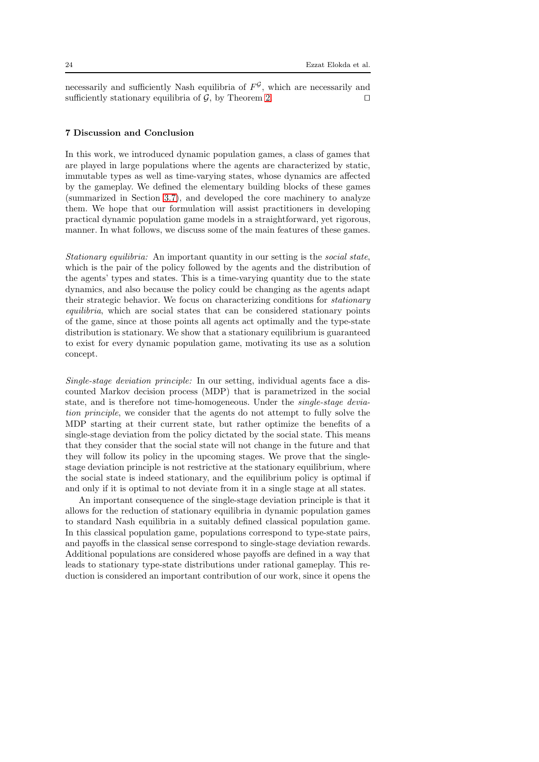necessarily and sufficiently Nash equilibria of  $F<sup>g</sup>$ , which are necessarily and sufficiently stationary equilibria of  $\mathcal{G}$ , by Theorem [2.](#page-18-0) □

## <span id="page-23-0"></span>7 Discussion and Conclusion

In this work, we introduced dynamic population games, a class of games that are played in large populations where the agents are characterized by static, immutable types as well as time-varying states, whose dynamics are affected by the gameplay. We defined the elementary building blocks of these games (summarized in Section [3.7\)](#page-13-2), and developed the core machinery to analyze them. We hope that our formulation will assist practitioners in developing practical dynamic population game models in a straightforward, yet rigorous, manner. In what follows, we discuss some of the main features of these games.

Stationary equilibria: An important quantity in our setting is the social state, which is the pair of the policy followed by the agents and the distribution of the agents' types and states. This is a time-varying quantity due to the state dynamics, and also because the policy could be changing as the agents adapt their strategic behavior. We focus on characterizing conditions for stationary equilibria, which are social states that can be considered stationary points of the game, since at those points all agents act optimally and the type-state distribution is stationary. We show that a stationary equilibrium is guaranteed to exist for every dynamic population game, motivating its use as a solution concept.

Single-stage deviation principle: In our setting, individual agents face a discounted Markov decision process (MDP) that is parametrized in the social state, and is therefore not time-homogeneous. Under the single-stage deviation principle, we consider that the agents do not attempt to fully solve the MDP starting at their current state, but rather optimize the benefits of a single-stage deviation from the policy dictated by the social state. This means that they consider that the social state will not change in the future and that they will follow its policy in the upcoming stages. We prove that the singlestage deviation principle is not restrictive at the stationary equilibrium, where the social state is indeed stationary, and the equilibrium policy is optimal if and only if it is optimal to not deviate from it in a single stage at all states.

An important consequence of the single-stage deviation principle is that it allows for the reduction of stationary equilibria in dynamic population games to standard Nash equilibria in a suitably defined classical population game. In this classical population game, populations correspond to type-state pairs, and payoffs in the classical sense correspond to single-stage deviation rewards. Additional populations are considered whose payoffs are defined in a way that leads to stationary type-state distributions under rational gameplay. This reduction is considered an important contribution of our work, since it opens the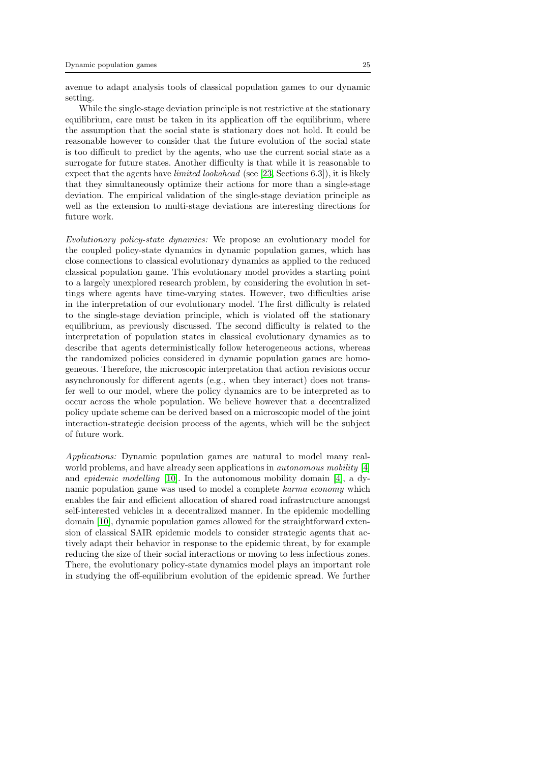avenue to adapt analysis tools of classical population games to our dynamic setting.

While the single-stage deviation principle is not restrictive at the stationary equilibrium, care must be taken in its application off the equilibrium, where the assumption that the social state is stationary does not hold. It could be reasonable however to consider that the future evolution of the social state is too difficult to predict by the agents, who use the current social state as a surrogate for future states. Another difficulty is that while it is reasonable to expect that the agents have limited lookahead (see [\[23,](#page-26-22) Sections 6.3]), it is likely that they simultaneously optimize their actions for more than a single-stage deviation. The empirical validation of the single-stage deviation principle as well as the extension to multi-stage deviations are interesting directions for future work.

Evolutionary policy-state dynamics: We propose an evolutionary model for the coupled policy-state dynamics in dynamic population games, which has close connections to classical evolutionary dynamics as applied to the reduced classical population game. This evolutionary model provides a starting point to a largely unexplored research problem, by considering the evolution in settings where agents have time-varying states. However, two difficulties arise in the interpretation of our evolutionary model. The first difficulty is related to the single-stage deviation principle, which is violated off the stationary equilibrium, as previously discussed. The second difficulty is related to the interpretation of population states in classical evolutionary dynamics as to describe that agents deterministically follow heterogeneous actions, whereas the randomized policies considered in dynamic population games are homogeneous. Therefore, the microscopic interpretation that action revisions occur asynchronously for different agents (e.g., when they interact) does not transfer well to our model, where the policy dynamics are to be interpreted as to occur across the whole population. We believe however that a decentralized policy update scheme can be derived based on a microscopic model of the joint interaction-strategic decision process of the agents, which will be the subject of future work.

Applications: Dynamic population games are natural to model many realworld problems, and have already seen applications in *autonomous mobility* [\[4\]](#page-26-3) and epidemic modelling [\[10\]](#page-26-9). In the autonomous mobility domain [\[4\]](#page-26-3), a dynamic population game was used to model a complete karma economy which enables the fair and efficient allocation of shared road infrastructure amongst self-interested vehicles in a decentralized manner. In the epidemic modelling domain [\[10\]](#page-26-9), dynamic population games allowed for the straightforward extension of classical SAIR epidemic models to consider strategic agents that actively adapt their behavior in response to the epidemic threat, by for example reducing the size of their social interactions or moving to less infectious zones. There, the evolutionary policy-state dynamics model plays an important role in studying the off-equilibrium evolution of the epidemic spread. We further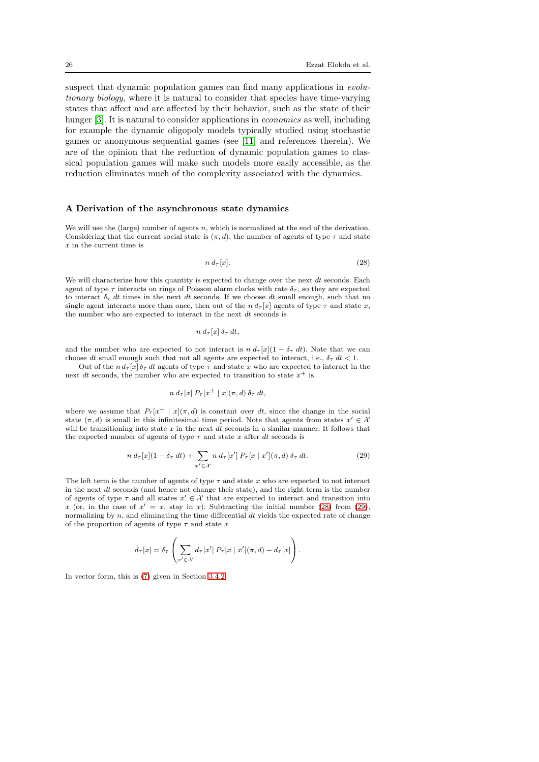suspect that dynamic population games can find many applications in *evolu*tionary biology, where it is natural to consider that species have time-varying states that affect and are affected by their behavior, such as the state of their hunger [\[3\]](#page-26-2). It is natural to consider applications in *economics* as well, including for example the dynamic oligopoly models typically studied using stochastic games or anonymous sequential games (see [\[11\]](#page-26-10) and references therein). We are of the opinion that the reduction of dynamic population games to classical population games will make such models more easily accessible, as the reduction eliminates much of the complexity associated with the dynamics.

#### <span id="page-25-0"></span>A Derivation of the asynchronous state dynamics

We will use the (large) number of agents n, which is normalized at the end of the derivation. Considering that the current social state is  $(\pi, d)$ , the number of agents of type  $\tau$  and state  $x$  in the current time is

<span id="page-25-1"></span>
$$
n d_{\tau}[x]. \tag{28}
$$

We will characterize how this quantity is expected to change over the next  $dt$  seconds. Each agent of type  $\tau$  interacts on rings of Poisson alarm clocks with rate  $\delta_{\tau}$ , so they are expected to interact  $\delta_{\tau}$  dt times in the next dt seconds. If we choose dt small enough, such that no single agent interacts more than once, then out of the  $n d_{\tau}[x]$  agents of type  $\tau$  and state  $x$ , the number who are expected to interact in the next dt seconds is

$$
n\,d_{\tau}[x]\,\delta_{\tau}\,dt,
$$

and the number who are expected to not interact is  $n d_\tau[x](1 - \delta_\tau dt)$ . Note that we can choose dt small enough such that not all agents are expected to interact, i.e.,  $\delta_{\tau}$  dt < 1.

Out of the  $n d_\tau[x] \delta_\tau dt$  agents of type  $\tau$  and state x who are expected to interact in the next dt seconds, the number who are expected to transition to state  $x^+$  is

<span id="page-25-2"></span>
$$
n d_{\tau}[x] P_{\tau}[x^+ | x](\pi, d) \delta_{\tau} dt,
$$

where we assume that  $P<sub>\tau</sub>[x^+ | x](\pi, d)$  is constant over dt, since the change in the social state  $(\pi, d)$  is small in this infinitesimal time period. Note that agents from states  $x' \in \mathcal{X}$ will be transitioning into state  $x$  in the next  $dt$  seconds in a similar manner. It follows that the expected number of agents of type  $\tau$  and state x after dt seconds is

$$
n d_{\tau}[x](1 - \delta_{\tau} dt) + \sum_{x' \in \mathcal{X}} n d_{\tau}[x'] P_{\tau}[x \mid x'](\pi, d) \delta_{\tau} dt.
$$
 (29)

The left term is the number of agents of type  $\tau$  and state x who are expected to not interact in the next  $dt$  seconds (and hence not change their state), and the right term is the number of agents of type  $\tau$  and all states  $x' \in \mathcal{X}$  that are expected to interact and transition into x (or, in the case of  $x' = x$ , stay in x). Subtracting the initial number [\(28\)](#page-25-1) from [\(29\)](#page-25-2), normalizing by  $n$ , and eliminating the time differential  $dt$  yields the expected rate of change of the proportion of agents of type  $\tau$  and state x

$$
\dot{d}_{\tau}[x] = \delta_{\tau} \left( \sum_{x' \in \mathcal{X}} d_{\tau}[x'] P_{\tau}[x \mid x'](\pi, d) - d_{\tau}[x] \right).
$$

In vector form, this is [\(7\)](#page-11-0) given in Section [3.4.2.](#page-10-5)